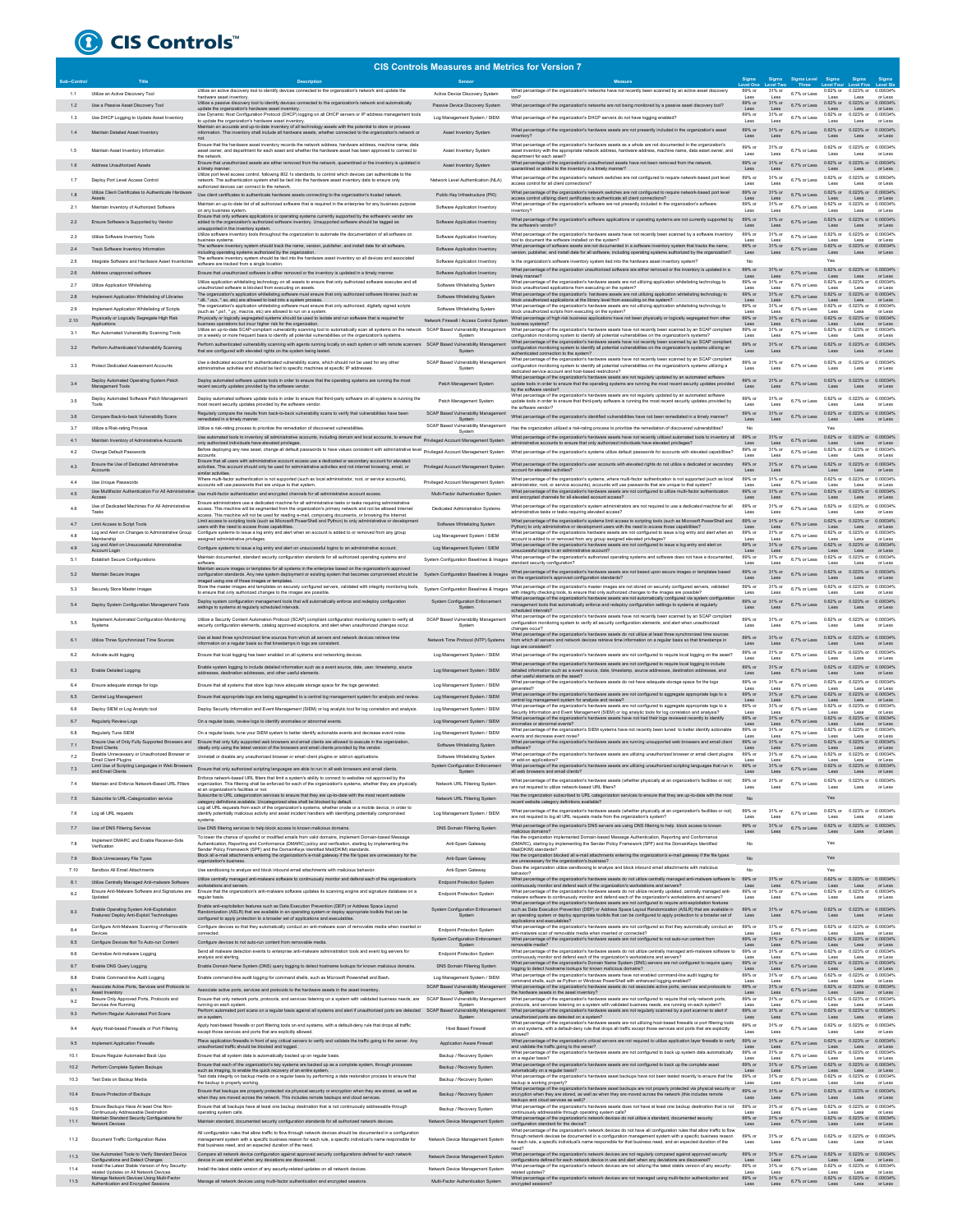

## **CIS Controls Measures and Metrics for Version 7**

|         |                                                                                                                                          |                                                                                                                                                                                                                                                               | <b>CIS Controls Measures and Metrics for Version /</b> |                                                                                                                                                                                                                                                                       |                          |                          |                 |                                                                    |                             |                     |
|---------|------------------------------------------------------------------------------------------------------------------------------------------|---------------------------------------------------------------------------------------------------------------------------------------------------------------------------------------------------------------------------------------------------------------|--------------------------------------------------------|-----------------------------------------------------------------------------------------------------------------------------------------------------------------------------------------------------------------------------------------------------------------------|--------------------------|--------------------------|-----------------|--------------------------------------------------------------------|-----------------------------|---------------------|
|         | Title                                                                                                                                    | <b>Description</b>                                                                                                                                                                                                                                            | Sensor                                                 | Measure                                                                                                                                                                                                                                                               |                          |                          | Sigma Level     | Sigma                                                              |                             |                     |
| 1.1     | Littize an Active Discovery Tool                                                                                                         | Utilize an active discovery tool to identify devices connected to the organization's network and update the<br>hardware asset inventory.                                                                                                                      | Active Device Discovery System                         | What percentage of the organization's networks have not recently been scanned by an active asset discovery<br>tool?                                                                                                                                                   | 69% or                   | 31% or<br>Less           | 6.7% or Less    | 0.62% or 0.023% or 0.00034%<br>Less                                | Less                        | or Less             |
| 1.2     | Use a Passive Asset Discovery Tool                                                                                                       | Utilize a passive discovery tool to identify devices connected to the organization's network and automatically                                                                                                                                                | Passive Device Discovery System                        | What percentage of the organization's networks are not being monitored by a passive asset discovery tool?                                                                                                                                                             | 69% or                   | 31% or                   | 6.7% or Less    | 0.62% or 0.023% or 0.00034%                                        |                             |                     |
|         |                                                                                                                                          | update the organization's hardware asset inventory.<br>Use Dynamic Host Configuration Protocol (DHCP) logging on all DHCP servers or IP address management tools                                                                                              |                                                        |                                                                                                                                                                                                                                                                       | Less<br>69% or           | Less<br>31% or           |                 | Less<br>0.62% or 0.023% or                                         | Less                        | or Less<br>0.00034% |
| 1.3     | Use DHCP Logging to Update Asset Inventory                                                                                               | to update the organization's hardware asset inventory<br>Maintain an accurate and up-to-date inventory of all technology assets with the potential to store or process                                                                                        | Log Management System / SIEM                           | What percentage of the organization's DHCP servers do not have logging enabled?                                                                                                                                                                                       | Less                     | Less                     | 6.7% or Less    | Less                                                               | Less                        | or Less             |
|         | Maintain Detailed Asset Inventory                                                                                                        | information. This inventory shall include all hardware assets, whether connected to the organization's network or                                                                                                                                             | Asset Inventory System                                 | What percentage of the organization's hardware assets are not presently included in the organization's asse<br>inventory?                                                                                                                                             | 69% or<br>Less           | 31% o<br>Less            | 6.7% or Less    | 0.62% or<br>Less                                                   | 0.023% or<br>Less           | 0.00034%<br>or Less |
|         |                                                                                                                                          | not.<br>Ensure that the hardware asset inventory records the network address, hardware address, machine name, data                                                                                                                                            |                                                        | What percentage of the organization's hardware assets as a whole are not documented in the organization's                                                                                                                                                             |                          |                          |                 |                                                                    |                             |                     |
| 1.5     | Maintain Asset Inventory Information                                                                                                     | asset owner, and department for each asset and whether the hardware asset has been approved to connect to<br>the network.                                                                                                                                     | Asset Inventory System                                 | asset inventory with the appropriate network address, hardware address, machine na<br>ne, data asset owner, and<br>department for each asset?                                                                                                                         | 69% or<br>Less           | 31% or<br>Less           | 6.7% or Less    | 0.62% or 0.023% or<br>Less                                         | Less                        | 0.00034%<br>or Less |
| 1.6     | Address Unauthorized Assets                                                                                                              | Ensure that unauthorized assets are either removed from the network, quarantined or the inventory is updated in                                                                                                                                               | Asset Inventory System                                 | What percentage of the organization's unauthorized assets have not been removed from the network,                                                                                                                                                                     | 69% or                   | 31% or                   | 6.7% or Less    | 0.62% or 0.023% or                                                 |                             | 0.00034%            |
|         |                                                                                                                                          | a timely manner.<br>Utilize port level access control, following 802.1x standards, to control which devices can authenticate to the                                                                                                                           |                                                        | quarantined or added to the inventory in a timely manner?                                                                                                                                                                                                             | Less                     | Less                     |                 | Less                                                               | Less                        | or Less             |
| 1.7     | Deploy Port Level Access Control                                                                                                         | network. The authentication system shall be tied into the hardware asset inventory data to ensure only                                                                                                                                                        | Network Level Authentication (NLA)                     | What percentage of the organization's network switches are not configured to require network-based port level<br>access control for all client connections?                                                                                                           | 69% or<br>Less           | 31% or<br>Less           | 6.7% or Less    | 0.62% or 0.023% or<br>Less                                         | Less                        | 0.00034%<br>or Less |
| 1.8     | Utilize Client Certificates to Authenticate Hardwar                                                                                      | authorized devices can connect to the network<br>Use client certificates to authenticate hardware assets connecting to the organization's trusted network.                                                                                                    | Public Key Infrastructure (PKI)                        | What percentage of the organization's network switches are not configured to require network-based port level                                                                                                                                                         | 69% or                   | 31% o                    | 6.7% or Less    | 0.62% or 0.023% or                                                 |                             | 0.00034%            |
|         |                                                                                                                                          | Maintain an up-to-date list of all authorized software that is required in the enterprise for any business purpose                                                                                                                                            |                                                        | access control utilizing client certificates to authenticate all client connections?<br>What percentage of the organization's software are not presently included in the organization's software                                                                      | Less<br>69% or           | Less<br>31% or           |                 | Less<br>0.62% or                                                   | Less<br>0.023% or           | or Less<br>0.00034% |
| 2.1     | Maintain Inventory of Authorized Software                                                                                                | on any business system<br>Ensure that only software applications or operating systems currently supported by the software's vendor are                                                                                                                        | Software Application Inventory                         | inventory?                                                                                                                                                                                                                                                            | Less                     | Less                     | 6.7% or Less    | Less                                                               | Less                        | or Less             |
| 2.2     | Ensure Software is Supported by Vendor                                                                                                   | added to the organization's authorized software inventory. Unsupported software should be tagged as                                                                                                                                                           | Software Application Inventory                         | What percentage of the organization's software applications or operating systems are not currently supported by<br>the software's vendor'                                                                                                                             | 69% or<br>Less           | 31% or<br>Less           | 6.7% or Less    | 0.62% or 0.023% or<br>Less                                         | Less                        | 0.00034%<br>or Less |
|         |                                                                                                                                          | unsupported in the inventory system.<br>Utilize software inventory tools throughout the organization to automate the documentation of all software on                                                                                                         |                                                        | What percentage of the organization's hardware assets have not recently been scanned by a software inventory                                                                                                                                                          | 69% or                   | 31% or                   |                 | 0.62% or 0.023% or                                                 |                             | 0.00034%            |
| 2.3     | Utilize Software Inventory Tools                                                                                                         | business systems                                                                                                                                                                                                                                              | Software Application Inventory                         | tool to document the software installed on the system?<br>What percentage of software assets are not documented in a software inventory system that tracks the name                                                                                                   | Less<br>69% or           | Less                     | 6.7% or Less    | Less                                                               | Less                        | or Less             |
| 2.4     | Track Software Inventory Information                                                                                                     | The software inventory system should track the name, version, publisher, and install date for all software,<br>including operating systems authorized by the organization.                                                                                    | Software Application Inventory                         | version, publisher, and install date for all software, including operating systems authorized by the organization?                                                                                                                                                    | Less                     | 31% o<br>Less            |                 | $0.62\%$ or $0.023\%$ or $0.00034\%$<br>Less                       | Less                        | or Less             |
| $2.5\,$ | Integrate Software and Hardware Asset Inventories                                                                                        | The software inventory system should be tied into the hardware asset inventory so all devices and as<br>software are tracked from a single location                                                                                                           | Software Application Inventory                         | Is the organization's software inventory system tied into the hardware asset inventory system?                                                                                                                                                                        | No                       |                          |                 | Yes                                                                |                             |                     |
| 2.6     | Address unapproved software                                                                                                              | Ensure that unauthorized software is either removed or the inventory is updated in a timely manner.                                                                                                                                                           | Software Application Inventory                         | What percentage of the organization unauthorized software are either removed or the inventory is updated in a                                                                                                                                                         | 69% or                   | 31% or                   | 6.7% or Less    | 0.62% or 0.023% or                                                 |                             | 0.00034%            |
| 2.7     | Utilize Application Whitelisting                                                                                                         | Utilize application whitelisting technology on all assets to ensure that only authorized software executes and all                                                                                                                                            | Software Whitelisting System                           | timely manner?<br>What percentage of the organization's hardware assets are not utilizing application whitelisting technology to                                                                                                                                      | Less<br>69% or           | Less<br>31% or           | 6.7% or Less    | Less<br>0.62% or                                                   | Less<br>0.023% or           | or Less<br>0.00034% |
|         |                                                                                                                                          | unauthorized software is blocked from executing on assets<br>The organization's application whitelisting software must ensure that only authorized software libraries (such as                                                                                |                                                        | block unauthorized applications from executing on the system?<br>What percentage of the organization's hardware assets are not utilizing application whitelisting technology to                                                                                       | Less<br>69% or           | Less<br>31% or           |                 | Lost<br>0.62% or 0.023% or 0.00034%                                | Less                        | or Less             |
| 2.8     | Implement Application Whitelisting of Libraries                                                                                          | ".dll, ".ocx, ".so, etc) are allowed to load into a system process                                                                                                                                                                                            | Software Whitelisting System                           | block unauthorized applications at the library level from executing on the system?                                                                                                                                                                                    | Less                     |                          | 6.7% or Less    |                                                                    |                             | or Les              |
| 2.9     | Implement Application Whitelisting of Scripts                                                                                            | The organization's application whitelisting software must ensure that only authorized, digitally signed scripts<br>(such as *.ps1, *.py, macros, etc) are allowed to run on a system                                                                          | Software Whitelisting System                           | What percentage of the organization's hardware assets are not utilizing application whitelisting technology to<br>block unauthorized scripts from executing on the system?                                                                                            | 69% or<br>Less           | 31% or<br>Less           | 6.7% or Less    | 0.62% or 0.023% or<br>Less                                         | Less                        | 0.00034%<br>or Less |
| 2.10    | Physically or Logically Segregate High Risk                                                                                              | Physically or logically segregated systems should be used to isolate and run software that is required for<br>business operations but incur higher risk for the organization.                                                                                 | Network Firewall / Access Control System               | What percentage of high risk business applications have not been physically or logically segregated from other<br>business systems?                                                                                                                                   | 69% or<br>Less           | 31% or<br>Less           | 6.7% or Less    | 0.62% or 0.023% or 0.00034%<br>Less                                | Less                        | or Less             |
| 3.1     | Run Automated Vulnerability Scanning Tool                                                                                                | Utilize an up-to-date SCAP-compliant vulnerability scanning tool to automatically scan all systems on the network SCAP Based Vulnerability Management What percentage of the organization's hardware assets have not recently                                 |                                                        |                                                                                                                                                                                                                                                                       | 69% or                   | 31% or                   | 6.7% or Less    | 0.62% or 0.023% or                                                 |                             | 0.00034%            |
|         |                                                                                                                                          | on a weekly or more frequent basis to identify all potential vulnerabilities on the organization's systems.                                                                                                                                                   | System                                                 | configuration monitoring system to identify all potential vulnerabilities on the organization's systems?<br>What percentage of the organization's hardware assets have not recently been scanned by an SCAP compliant                                                 | Less<br>69% or           | Less<br>31% or           |                 | Less<br>0.62% or 0.023% or                                         | Less                        | or Less<br>0.00034% |
| 3.2     | Perform Authenticated Vulnerability Scanning                                                                                             | Perform authenticated vulnerability scanning with agents running locally on each system or with remote scanners SCAP Based Vulnerability Management<br>that are configured with elevated rights on the system being tested.                                   | System                                                 | configuration monitoring system to identify all potential vulnerabilities on the organization's systems utilizing an<br>enticated connection to the system?                                                                                                           | Less                     | Less                     | 6.7% or Less    | Less                                                               | Less                        | or Less             |
|         |                                                                                                                                          | Use a dedicated account for authenticated vulnerability scans, which should not be used for any other                                                                                                                                                         | SCAP Based Vulnerability Management                    | What percentage of the organization's hardware assets have not recently been scanned by an SCAP compliant                                                                                                                                                             | 69% or                   | 31% or                   |                 | 0.62% or                                                           | $0.023\%$ or                | 0.00034%            |
| 3.3     | Protect Dedicated Assessment Accounts                                                                                                    | administrative activities and should be tied to specific machines at specific IP addresses.                                                                                                                                                                   | System                                                 | configuration monitoring system to identify all potential vulnerabilities on the organization's systems utilizing a<br>dedicated service account and host-based restrictions?                                                                                         | Less                     | Less                     | 6.7% or Less    | Less                                                               | Less                        | or Less             |
| 3.4     | Deploy Automated Operating System Patch                                                                                                  | Deploy automated software update tools in order to ensure that the operating systems are running the most                                                                                                                                                     | Patch Management System                                | What percentage of the organization's hardware assets are not regularly updated by an automated software                                                                                                                                                              | 69% or                   | 31% or                   | 6.7% or Less    | 0.62% or 0.023% or                                                 |                             | 0.00034%            |
|         | Management Tools                                                                                                                         | recent security updates provided by the software vendor                                                                                                                                                                                                       |                                                        | update tools in order to ensure that the operating systems are running the most recent security updates provided<br>by the software vendor?                                                                                                                           | Less                     | Less                     |                 | Less                                                               | Less                        | or Less             |
| 3.5     | Deploy Automated Software Patch Management<br>Tools                                                                                      | ftware update tools in order to ensure that third-party software on all systems is running the                                                                                                                                                                | Patch Management System                                | What percentage of the organization's hardware assets are not regularly updated by an automated softwar<br>update tools in order to ensure that third-party software is running the most recent security updates provided by                                          | 69% or                   | 31% or                   | 6.7% or Less    | 0.62% or 0.023% or                                                 |                             | 0.00034%            |
|         |                                                                                                                                          | most recent security updates provided by the software vendor.                                                                                                                                                                                                 | SCAP Based Vulnerability Management                    | the software vendor?                                                                                                                                                                                                                                                  | Less<br>69% or           | Less<br>31% or           |                 | Less<br>0.62% or 0.023% or 0.00034%                                | Less                        | or Less             |
| 3.6     | Compare Back-to-back Vulnerability Scans                                                                                                 | Regularly compare the results from back-to-back vulnerability scans to verify that vulnerabilities have been<br>ated in a timely manner                                                                                                                       | System                                                 | What percentage of the organization's identified vulnerabilities have not been remediated in a timely manner?                                                                                                                                                         | Less                     |                          | 6.7% or Less    | Less                                                               | Less                        | or Less             |
| 3.7     | Utilize a Risk-rating Process                                                                                                            | Utilize a risk-rating process to prioritize the remediation of discovered vulnerabilitie                                                                                                                                                                      | SCAP Based Vulnerability Management<br>System          | Has the organization utilized a risk-rating process to prioritize the remediation of discovered vulne                                                                                                                                                                 | No                       |                          |                 | Yes                                                                |                             |                     |
|         | Maintain Inventory of Administrative Accounts                                                                                            | Use automated tools to inventory all administrative accounts, including domain and local accounts, to ensure that privileged Account Management System<br>only authorized individuals have elevated privileges.                                               |                                                        | What percentage of the organization's hardware assets have not recently utilized autom<br>the union is to deal                                                                                                                                                        | 69% or                   | 31% or                   | 6.7% or Less    | 0.62% or 0.023% or                                                 |                             | 0.00034%            |
| 4.2     | Change Default Passwords                                                                                                                 | only additional international international continuum<br>Before deploying any new asset, change all default passwords to have values consistent with administrative level Privileged Account Management System                                                |                                                        | administrative accounts to ensure that only authorized individuals have elevated privileges?<br>What percentage of the organization's systems utilize default passwords for accounts with elevated capabilities?                                                      | Less<br>69% or           | Less<br>31% o            | 6.7% or Less    | Less<br>0.62% or 0.023% or                                         | Less                        | or Less<br>0.00034% |
|         |                                                                                                                                          | accounts.<br>Ensure that all users with administrative account access use a dedicated or secondary account for elevated                                                                                                                                       |                                                        |                                                                                                                                                                                                                                                                       | Less                     | Less                     |                 | Less                                                               | Less                        | or Less             |
| 4.3     | Ensure the Use of Dedicated Administrative                                                                                               | activities. This account should only be used for administrative activities and not internet browsing, email, or                                                                                                                                               | Privileged Account Management System                   | What percentage of the organization's user accounts with elevated rights do not utilize a dedicated or secondary                                                                                                                                                      | 69% or                   | 31% or<br>Less           | 6.7% or Less    | 0.62% or 0.023% or<br>Less                                         | $_{\text{Loss}}$            | 0.00034%<br>or Less |
| 4.4     | Use Unique Passwords                                                                                                                     | similar activities.<br>Where multi-factor authentication is not supported (such as local administrator, root, or service accounts),                                                                                                                           | Privileged Account Management System                   | What percentage of the organization's systems, where multi-factor authentication is not supported (such as local                                                                                                                                                      | 69% or                   | 31% or                   | 6.7% or Less    | 0.62% or 0.023% or                                                 |                             | 0.00034%            |
|         |                                                                                                                                          | accounts will use passwords that are unique to that system.                                                                                                                                                                                                   |                                                        | administrator, root, or service accounts), accounts will use passwords that are unique to that system?<br>What percentage of the organization's hardware assets are not configured to utilize multi-factor authentication                                             | Less<br>69% or           | Less<br>31% o            |                 | Less<br>0.62% or 0.023% or                                         | Less                        | or Less<br>0.00034% |
| 4.6     |                                                                                                                                          | Use Multifactor Authentication For All Administrative Use multi-factor authentication and encrypted channels for all administrative account access.                                                                                                           | Multi-Factor Authentication System                     | and encrypted channels for all elevated account access?                                                                                                                                                                                                               | Less                     | Less                     | 6.7% or Less    | Less                                                               | Less                        | or Less             |
| 4.6     | Use of Dedicated Machines For All Administrative<br>Tasks                                                                                | Ensure administrators use a dedicated machine for all administrative tasks or tasks requiring administrative<br>access. This machine will be segmented from the organization's primary network and not be allowed Internet                                    | Dedicated Administration Systems                       | What percentage of the organization's system administrators are not required to use a dedicated machine for all                                                                                                                                                       | 69% or<br>Less           | 31% or<br>Less           | 6.7% or Less    | 0.62% or 0.023% or 0.00034%<br>Less                                | Less                        |                     |
|         |                                                                                                                                          | access. This machine will not be used for reading e-mail, composing documents, or browsing the Internet.<br>Limit access to scripting tools (such as Microsoft PowerShell and Python) to only administrative or development                                   |                                                        | administrative tasks or tasks requiring elevated access?<br>What percentage of the organization's systems limit access to scripting tools (such as Microsoft PowerShell and                                                                                           | 69% or                   | 31% or                   |                 | 0.62% or 0.023% or                                                 |                             | or Less<br>0.00034% |
| 4.7     | Limit Access to Script Tools                                                                                                             | users with the need to access those capabilities.                                                                                                                                                                                                             | Software Whitelisting System                           | Python) to only administrative or development users with the need to access those capabilities?                                                                                                                                                                       | Less                     | Less                     | 6.7% or Less    | Less                                                               | Less                        | or Less             |
| 4.8     | Membership                                                                                                                               | Log and Alert on Changes to Administrative Group Configure systems to issue a log entry and alert when an account is added to or removed from any group<br>assigned administrative privileges                                                                 | Log Management System / SIEM                           | What percentage of the organizations hardware assets are not configured to issue a log entry and alert when an<br>account is added to or removed from any group assigned elevated privileges?                                                                         | 69% or<br>Less           | 31% or<br>Less           | 6.7% or Less    | 0.62% or 0.023% or<br>Less                                         | Less                        | 0.00034%<br>or Less |
| 4.9     | Log and Alert on Unsuccessful Administrative<br>Account Login                                                                            | Configure systems to issue a log entry and alert on unsuccessful logins to an administrative account                                                                                                                                                          | Log Management System / SIEM                           | What percentage of the organization's hardware assets are not configured to issue a log entry and alert on<br>unsuccessful logins to an administrative account?                                                                                                       | 69% or<br>Less           | 31% o<br>Less            | 6.7% or Less    | 0.62% or 0.023% or<br>Less                                         | Less                        | 0.00034%<br>or Less |
| 5.1     | Establish Secure Configurations                                                                                                          | Maintain documented, standard security configuration standards for all authorized operating syst                                                                                                                                                              | System Configuration Baselines & Images                | What percentage of the organization's authorized operating systems and software does not have a di                                                                                                                                                                    | 69% or                   | 31% o                    | 6.7% or Less    | 0.62% or                                                           | 0.023% or                   | 0.00034%            |
|         |                                                                                                                                          | software.<br>Maintain secure images or templates for all systems in the enterprise based on the organization's approved                                                                                                                                       |                                                        | standard security configuration?                                                                                                                                                                                                                                      | Less                     | Less                     |                 | Less                                                               | Less                        | or Less<br>0.00034% |
| 5.2     | Maintain Secure Images                                                                                                                   | configuration standards. Any new system deployment or existing system that becomes compromised should be<br>imaged using one of those images or templates.                                                                                                    | System Configuration Baselines & Images                | What percentage of the organization's hardware assets are not based upon secure images or templates based<br>on the organization's approved configuration standards?                                                                                                  | 69% or<br>Less           | 31% or                   | 6.7% or Less    | 0.62% or 0.023% or<br>Less                                         | Less                        | or Less             |
| 5.3     | Securely Store Master Images                                                                                                             | Store the master images and templates on securely configured servers, validated with integrity monitoring tools,                                                                                                                                              | System Configuration Baselines & Images                | What percentage of the organization's master images are not stored on securely configured servers, validated                                                                                                                                                          | 69% or                   | 31% or                   | 6.7% or Less    | 0.62% or                                                           | 0.023% or                   | 0.00034%            |
|         |                                                                                                                                          | to ensure that only authorized changes to the images are possible<br>Deploy system configuration management tools that will automatically enforce and redeploy configuration                                                                                  | System Configuration Enforcement                       | with integrity checking tools, to ensure that only authorized changes to the images are possible?<br>What percentage of the organization's hardware assets are not automatically configured via system configuration                                                  | Less<br>69% or           | Less<br>31% or           |                 | Less<br>0.62% or 0.023% or                                         | Less                        | or Less<br>0.00034% |
| 5.4     | Deploy System Configuration Management Tools                                                                                             | settings to systems at regularly scheduled intervals                                                                                                                                                                                                          | System                                                 | management tools that automatically enforce and redeploy configuration settings to systems at regularly<br>scheduled intervals?                                                                                                                                       | Less                     | Less                     | 6.7% or Less    | Less                                                               | Less                        | or Less             |
|         | ent Automated Configuration Monitoring                                                                                                   | Utilize a Security Content Automation Protocol (SCAP) compliant configuration monitoring system to verify all                                                                                                                                                 | SCAP Based Vulnerability Manage                        | What percentage of the organization's hardware assets have not recently been scanned by an SCAP compliant                                                                                                                                                             | 69% or                   | 31% or                   |                 | $0.62\%$ or $-0.023\%$ or                                          |                             | 0.00034%            |
| 5.5     | Systems                                                                                                                                  | security configuration elements, catalog approved exceptions, and alert when unauthorized changes occur.                                                                                                                                                      | System                                                 | configuration monitoring system to verify all security configuration elements, and alert when unauthorized<br>changes occur?                                                                                                                                          | Less                     | Less                     | 6.7% or Less    | Less                                                               | Less                        | or Less             |
| 6.1     |                                                                                                                                          | Use at least three synchronized time sources from which all servers and network devices retrieve time                                                                                                                                                         |                                                        | What percentage of the organization's hardware assets do not utilize at least three synchronized time sources                                                                                                                                                         | 69% or                   | 31% or                   | 6.7% or Less    | 0.62% or 0.023% or 0.00034%                                        |                             |                     |
|         | Utilize Three Synchronized Time Source                                                                                                   | information on a regular basis so that timestamps in logs are consistent                                                                                                                                                                                      | Network Time Protocol (NTP) Systems                    | from which all servers and network devices retrieve time information on a regular basis so that timestamps in<br>logs are consistent?                                                                                                                                 | Less                     | Less                     |                 | Less                                                               | Less                        | or Less             |
| 6.2     | Activate audit logging                                                                                                                   | Ensure that local logging has been enabled on all systems and networking devices.                                                                                                                                                                             | Log Management System / SIEM                           | What percentage of the organization's hardware assets are not configured to require local logging on the asset?                                                                                                                                                       | 69% or<br>Less           | 31% or<br>Less           | 6.7% or Less    | 0.62% or<br>Less                                                   | 0.023% or<br>Less           | 0.00034%<br>or Less |
| 6.3     | Enable Detailed Logging                                                                                                                  | Enable system logging to include detailed information such as a event source, date, user, timestamp, source                                                                                                                                                   |                                                        | What percentage of the organization's hardware assets are not configured to require local logging to inc                                                                                                                                                              | 69% or                   | 31% or                   | 6.7% or Less    | 0.62% or 0.023% or                                                 |                             | 0.00034%            |
|         |                                                                                                                                          | n addresses, and other useful elements                                                                                                                                                                                                                        | Log Management System / SIEM                           | detailed information such as a event source, date, timestamp, source addresses, destination addresses, and<br>other useful elements on the asset?                                                                                                                     | Less                     | Less                     |                 |                                                                    | $_{\text{Loss}}$            | or Less             |
| 6.4     | Ensure adequate storage for logs                                                                                                         | Ensure that all systems that store logs have adequate storage space for the logs generated                                                                                                                                                                    | Log Management System / SIEM                           | What percentage of the organization's hardware assets do not have adequate storage space for the logs<br>generated?                                                                                                                                                   | 69% or<br>Less           | 31% or<br>Less           | 6.7% or Less    | 0.62% or 0.023% or<br>Less                                         | Less                        | 0.00034%<br>or Less |
| 6.5     | Central Log Management                                                                                                                   | Ensure that appropriate logs are being aggregated to a central log management system for analysis and review                                                                                                                                                  | Log Management System / SIEM                           | What percentage of the organization's hardware assets are not configured to aggregate appropriate logs to a                                                                                                                                                           | 69% or                   | 31% o                    |                 | 0.62% or 0.023% or                                                 |                             | 0.00034%            |
| 6.6     | Deploy SIEM or Log Analytic tool                                                                                                         | Deploy Security Information and Event Management (SIEM) or log analytic tool for log correlation and analysis.                                                                                                                                                | Log Management System / SIEM                           | central log management system for analysis and review?<br>What percentage of the organization's hardware assets are not configured to aggregate appropriate logs to a                                                                                                 | Less<br>69% or           | Less<br>31% o            | 6.7% or Less    | Less<br>0.62% or                                                   | Less<br>0.023% or           | or Less<br>0.00034% |
|         |                                                                                                                                          |                                                                                                                                                                                                                                                               |                                                        | Security Information and Event Management (SIEM) or log analytic tools for log correlation and analysis?<br>What percentage of the organization's hardware assets have not had their logs reviewed recently to identify                                               | Less<br>69% or           | Loss<br>31% or           |                 | Loss<br>0.62% or 0.023% or                                         | Less                        | or Less<br>0.00034% |
| 6.7     | Regularly Review Logs                                                                                                                    | On a regular basis, review logs to identify anomalies or abnormal events.                                                                                                                                                                                     | Log Management System / SIEM                           | anomalies or abnormal events?                                                                                                                                                                                                                                         | Less                     | Less                     | 6.7% or Less    | Less                                                               | Less                        | or Less             |
| 6.8     | Regularly Tune SIEM                                                                                                                      | On a require basis, tune your SIEM system to better identify actionable events and decrease event poise                                                                                                                                                       | Log Management System / SIEM                           | What percentage of the organization's SIEM systems have not recently been tuned to better identify actionable<br>events and decrease event noise?                                                                                                                     | 69% or                   | 31% or                   | 6.7% or Less    | 0.62% or<br>Les                                                    | 0.023% or<br>Less           | 0.00034%<br>or Less |
| 7.1     | Email Clients                                                                                                                            | Ensure Use of Only Fully Supported Browsers and Ensure that only fully supported web browsers and email clients are allowed to execute in the organization,<br>ideally only using the latest version of the browsers and email clients provided by the vendor | Software Whitelisting System                           | What percentage of the organization's hardware assets are running unsupported web browsers and email client<br>software?                                                                                                                                              | 69% or                   | 31% or                   | 6.7% or Less    | 0.62% or 0.023% or 0.00034%                                        | Less                        | or Less             |
| 7.2     | Disable Unnecessary or Unauthorized Browser or                                                                                           | Uninstall or disable any unauthorized browser or email client plugins or add-on applications.                                                                                                                                                                 | Software Whitelisting System                           | What percentage of the organization's hardware assets are utilizing unauthorized browser or email client plugins                                                                                                                                                      | 69% or                   | 31% or                   | 6.7% or Less    | 0.62% or 0.023% or                                                 |                             | 0.00034%            |
|         | Email Client Plugins<br>Limit Use of Scripting Languages in Web Browsers                                                                 |                                                                                                                                                                                                                                                               | System Configuration Enforcement                       | or add-on applications?<br>What percentage of the organization's hardware assets are utilizing unauthorized scripting languages that run in                                                                                                                           | Less<br>69% or           | Less<br>31% or           |                 | Less<br>0.62% or 0.023% or 0.00034%                                | Less                        | or Less             |
| 7.3     | and Email Clients                                                                                                                        | Ensure that only authorized scripting languages are able to run in all web browsers and email clients<br>Enforce network-based URL filters that limit a system's ability to connect to websites not approved by the                                           | System                                                 | all web browsers and email clients?                                                                                                                                                                                                                                   | Less                     | Less                     | 6.7% or Less    | Less Less or Less                                                  |                             |                     |
| 7.4     | Maintain and Enforce Network-Based URL Filters                                                                                           | organization. This filtering shall be enforced for each of the organization's systems, whether they are physically                                                                                                                                            | Network URL Filtering System                           | What percentage of the organization's hardware assets (whether physically at an organization's facilities or not)<br>are not required to utilize network-based URL filters?                                                                                           | 69% or<br>Less           | 31% or<br>Less           | $6.7\%$ or Less | $0.62\%$ or $0.023\%$ or $0.00034\%$<br>Less                       | Less                        | or Less             |
| 7.5     | Subscribe to URL-Categorization service                                                                                                  | t an organization's facilities or not<br>Subscribe to URL categorization services to ensure that they are up-to-date with the most recent website                                                                                                             | Network URL Filtering System                           | Has the organization subscribed to URL categorization services to ensure that they are up-to-date with the most                                                                                                                                                       | No.                      |                          |                 | Yes                                                                |                             |                     |
|         |                                                                                                                                          | category definitions available. Uncategorized sites shall be blocked by default.<br>Log all URL requests from each of the organization's systems, whether onsite or a mobile device, in order to                                                              |                                                        | site category definitions available?                                                                                                                                                                                                                                  |                          |                          |                 |                                                                    |                             |                     |
| 7.6     | Log all URL requests                                                                                                                     | identify potentially malicious activity and assist incident handlers with identifying potentially compromised                                                                                                                                                 | Log Management System / SIEM                           | What percentage of the organization's hardware assets (whether physically at an organization's facilities or not)<br>are not required to log all URL requests made from the organization's system?                                                                    | 69% or<br>Less           | 31% or<br>Less           | 6.7% or Less    | $0.62\%$ or $0.023\%$ or $0.00034\%$<br>Less                       | Less                        | or Less             |
| 7.7     | Use of DNS Filtering Services                                                                                                            | systems<br>Use DNS filtering services to help block access to known malicious domains.                                                                                                                                                                        | DNS Domain Filtering System                            | What percentage of the organization's DNS servers are using DNS filtering to help block access to known                                                                                                                                                               | 69% or                   | 31% or                   | 6.7% or Less    | 0.62% or 0.023% or 0.00034%                                        |                             |                     |
|         |                                                                                                                                          | To lower the chance of spoofed or modified emails from valid domains, implement Domain-based Message                                                                                                                                                          |                                                        | malicious domains?<br>Has the organization implemented Domain-based Message Authentication, Reporting and Conformance                                                                                                                                                 | Less                     | Less                     |                 | Less                                                               | Less                        | or Less             |
| 7.8     | Implement DMARC and Enable Receiver-Side                                                                                                 | Authentication, Reporting and Conformance (DMARC) policy and verification, starting by implementing the<br>Sender Policy Framework (SPF) and the DomainKeys Identified Mail(DKIM) standards                                                                   | Anti-Spam Gateway                                      | (DMARC), starting by implementing the Sender Policy Framework (SPF) and the DomainKeys Identified<br>Mail(DKIM) standards?                                                                                                                                            | No                       |                          |                 | Yes                                                                |                             |                     |
| 7.9     | Block Unnecessary File Types                                                                                                             | Block all e-mail attachments entering the organization's e-mail gateway if the file types are unnecessary for the                                                                                                                                             | Anti-Spam Gateway                                      | Has the organization blocked all e-mail attachments entering the organization's e-mail gateway if the file types                                                                                                                                                      | No                       |                          |                 | Yes                                                                |                             |                     |
| 7.10    | Sandbox All Email Attachments                                                                                                            | organization's business.<br>Use sandboxing to analyze and block inbound email attachments with malicious behavior.                                                                                                                                            |                                                        | are unnecessary for the organization's business?<br>Does the organization utilize sandboxing to analyze and block inbound email attachments with malicious                                                                                                            | No                       |                          |                 | Yes                                                                |                             |                     |
|         |                                                                                                                                          | Utilize centrally managed anti-malware software to continuously monitor and defend each of the organization's                                                                                                                                                 | Anti-Spam Gateway                                      | hebavior?<br>What percentage of the organization's hardware assets do not utilize centrally managed anti-malware software to                                                                                                                                          | 69% or                   | 31% or                   |                 |                                                                    | 0.62% or 0.023% or 0.00034% |                     |
| 8.1     | Utilize Centrally Managed Anti-malware Software                                                                                          | workstations and servers.                                                                                                                                                                                                                                     | <b>Endpoint Protection System</b>                      | continuously monitor and defend each of the organization's workstations and servers?                                                                                                                                                                                  |                          | Less                     | 6.7% or Less    | Less                                                               | Less                        | or Less             |
| 8.2     |                                                                                                                                          | Ensure Anti-Malware Software and Signatures are Ensure that the organization's anti-malware software updates its scanning engine and signature database on a<br><br>regular basis.                                                                            | <b>Endocint Protection System</b>                      | What percentage of the organization's hardware assets do not utilize recently updated, centrally managed anti-<br>alware software to continuously monitor and defend each of the organization's workstations and servers?                                             | 69% or<br>Less           | 31% or<br>Less           | 6.7% or Less    | 0.62% or 0.023% or 0.00034%<br>Less                                | Less                        | or Less             |
|         | Enable Operating System Anti-Exploitation                                                                                                | Enable anti-exploitation features such as Data Execution Prevention (DEP) or Address Space Layout                                                                                                                                                             | System Configuration Enforcement                       | What percentage of the organization's hardware assets are not configured to require anti-exploitation features<br>such as Data Execution Prevention (DEP) or Address Space Lavout Randomization (ASLR) that are available in                                          | 69% or                   | 31% or                   |                 | 0.62% or 0.023% or 0.00034%                                        |                             |                     |
| 8.3     | Features/ Deploy Anti-Exploit Technologies                                                                                               | Randomization (ASLR) that are available in an operating system or deploy appropriate toolkits that can be<br>configured to apply protection to a broader set of applications and executables                                                                  | System                                                 | an operating system or deploy appropriate toolkits that can be configured to apply protection to a broader set of                                                                                                                                                     | Less                     | Less                     | 6.7% or Less    | Less                                                               | Less                        | or Less             |
| 8.4     | Configure Anti-Malware Scanning of Removable                                                                                             | Configure devices so that they automatically conduct an anti-malware scan of removable media when inserted or                                                                                                                                                 | <b>Endpoint Protection System</b>                      | applications and executables?<br>What percentage of the organization's hardware assets are not configured so that they automatically conduct an                                                                                                                       | 69% or                   | 31% or                   | 6.7% or Less    | 0.62% or 0.023% or 0.00034%                                        |                             |                     |
|         | Devices                                                                                                                                  | connected.                                                                                                                                                                                                                                                    | System Configuration Enforcement                       | anti-malware scan of removable media when inserted or connected?<br>What percentage of the organization's hardware assets are not configured to not auto-run content from                                                                                             | Less<br>69% or           | Less<br>31% or           |                 | Less<br>$0.62\%$ or $0.023\%$ or $0.00034\%$                       | Less                        | or Less             |
| 8.5     | Configure Devices Not To Auto-run Content                                                                                                | Configure devices to not auto-run content from removable media.                                                                                                                                                                                               | System                                                 | removable media?                                                                                                                                                                                                                                                      | Less                     | Less                     | 6.7% or Less    | Less                                                               | Less                        | or Less             |
| 8.6     | Centralize Anti-malware Logging                                                                                                          | Send all malware detection events to enterprise anti-malware administration tools and event log servers for<br>analysis and alerting                                                                                                                          | <b>Endpoint Protection System</b>                      | What percentage of the organization's hardware assets do not utilize centrally managed anti-malware software to                                                                                                                                                       | 69% or<br>Less           | 31% or<br>Less           | 6.7% or Less    | 0.62% or 0.023% or 0.00034%<br>Less                                | Less                        | or Less             |
| 8.7     | Enable DNS Query Logging                                                                                                                 | Enable Domain Name System (DNS) query logging to detect hostname lookups for known malicious domains.                                                                                                                                                         | DNS Domain Filtering System                            | continuously monitor and defend each of the organization's workstations and servers?<br>What percentage of the organization's Domain Name System (DNS) servers are not configured to require query<br>logging to detect hostname lookups for known malicious domains? | 69% or<br>Less           | 31% or<br>Less           | 6.7% or Less    | 0.62% or 0.023% or 0.00034%<br>Less                                | Less                        | or Less             |
| 8.8     | Enable Command-line Audit Logging                                                                                                        | Enable command-line audit logging for command shells, such as Microsoft Powershell and Bash.                                                                                                                                                                  | Log Management System / SIEM                           | What percentage of the organization's hardware assets have not enabled command-line audit logging for                                                                                                                                                                 | 69% or                   | 31% or                   | 6.7% or Less    | 0.62% or 0.023% or 0.00034%                                        |                             |                     |
|         | Associate Active Ports, Services and Protocols to                                                                                        |                                                                                                                                                                                                                                                               | SCAP Based Vulnerability Management                    | command shells, such as Python or Windows PowerShell with enhanced logging enabled?<br>What percentage of the organization's hardware assets do not associate active ports, services and protocols to                                                                 | Less<br>69% or           | Less<br>31% or           |                 | Less<br>0.62% or 0.023% or 0.00034%                                | Less                        | or Less             |
| 9.1     | Asset Inventory<br>Ensure Only Approved Ports, Protocols and                                                                             | Associate active ports, services and protocols to the hardware assets in the asset inventory.<br>Ensure that only network ports, protocols, and services listening on a system with validated business needs, are                                             | System<br>SCAP Based Vulnerability Management          | the hardware assets in the asset inventory?<br>What percentage of the organization's hardware assets are not configured to require that only network ports,                                                                                                           | 69% or                   | 31% or                   | 6.7% or Less    | Less<br>0.62% or 0.023% or 0.00034%                                |                             | or Less             |
| 9.2     | Services Are Running                                                                                                                     | unning on each syster                                                                                                                                                                                                                                         | System                                                 | protocols, and services listening on a system with validated business needs, are running on each system?                                                                                                                                                              | Less                     | Less                     | 6.7% or Less    | Less                                                               | Less                        | or Less             |
| 9.3     | Perform Regular Automated Port Scans                                                                                                     | Perform automated port scans on a regular basis against all systems and alert if unauthorized ports are detected SCAP Based Vulnerability Management                                                                                                          | System                                                 | What percentage of the organization's hardware assets are not regularly scanned by a port scanner to alert if<br>unauthorized ports are detected on a system?                                                                                                         | 69% or<br>Less           | 31% or<br>Less           | 6.7% or Less    | 0.62% or 0.023% or 0.00034%<br>Less                                | Less                        | or Less             |
|         |                                                                                                                                          | Apply host-based firewalls or port filtering tools on end systems, with a default-deny rule that drops all traffic                                                                                                                                            |                                                        | What percentage of the organization's hardware assets are not utilizing host-based firewalls or port filtering tools                                                                                                                                                  | 69% or                   | 31% or                   |                 | $0.62\%$ or $0.023\%$ or $0.00034\%$                               |                             |                     |
| 9.4     | Apply Host-based Firewalls or Port Filtering                                                                                             | except those services and ports that are explicitly allowed.                                                                                                                                                                                                  | <b>Host Based Firewall</b>                             | on end systems, with a default-deny rule that drops all traffic except those services and ports that are explicitly<br>allowed?                                                                                                                                       | Less                     | Less                     | 6.7% or Less    | Less                                                               | Less                        | or Less             |
| 9.5     | Implement Application Firewalls                                                                                                          | Place application firewalls in front of any critical servers to verify and validate the traffic going to the server. Any<br>suthorized traffic should be blocked and logged                                                                                   | Application Aware Firewall                             | What percentage of the organization's critical servers are not required to utilize application layer firewalls to verify<br>and validate the traffic going to the server?                                                                                             | 69% or                   | 31% or                   | 6.7% or Less    | 0.62% or 0.023% or 0.00034%<br>Less                                |                             |                     |
| 10.1    | Ensure Regular Automated Back Ups                                                                                                        | Ensure that all system data is automatically backed up on regular basis.                                                                                                                                                                                      | Backup / Recovery System                               | What percentage of the organization's hardware assets are not configured to back up system data automatically                                                                                                                                                         | 69% or                   | 31% or                   | 6.7% or Less    | 0.62% or 0.023% or 0.00034%                                        |                             |                     |
|         |                                                                                                                                          | Ensure that each of the organization's key systems are backed up as a complete system, through processes                                                                                                                                                      |                                                        | on a regular basis'<br>What percentage of the organization's hardware assets are not configured to back up the complete asset                                                                                                                                         | Less<br>69% or           | Less<br>31% or           |                 | Less<br>0.62% or 0.023% or 0.00034%                                | Less                        | or Less             |
| 10.2    | Perform Complete System Backups                                                                                                          | such as imaging, to enable the quick recovery of an entire system<br>Test data integrity on backup media on a regular basis by performing a data restoration process to ensure that                                                                           | Backup / Recovery System                               | automatically on a regular basis?<br>What percentage of the organization's hardware asset backups have not been tested recently to ensure that the                                                                                                                    | Less<br>69% or           | Less<br>31% or           | 6.7% or Less    | Less<br>0.62% or 0.023% or 0.00034%                                | Less                        | or Less             |
| 10.3    | Test Data on Backup Media                                                                                                                | the backup is properly working.                                                                                                                                                                                                                               | Backup / Recovery System                               | backup is working properly?                                                                                                                                                                                                                                           | Less                     | Less                     | 6.7% or Less    | Less                                                               | Less                        | or Less             |
| 10.4    | Ensure Protection of Backups                                                                                                             | Ensure that backups are properly protected via physical security or encryption when they are stored, as well as                                                                                                                                               | Backup / Recovery System                               | What percentage of the organization's hardware asset backups are not properly protected via physical security or<br>encryption when they are stored, as well as when they are moved across the network (this includes remote                                          | 69% or                   | 31% or                   | 6.7% or Less    | 0.62% or 0.023% or 0.00034%                                        |                             |                     |
|         | Ensure Backups Have At least One Non-                                                                                                    | when they are moved across the network. This includes remote backups and cloud services<br>Ensure that all backups have at least one backup destination that is not continuously addressable through                                                          |                                                        | backups and cloud services as well)?<br>What percentage of the organization's hardware assets does not have at least one backup destination that is not                                                                                                               | Less<br>69% or           | Less<br>31% or           |                 | Less<br>0.62% or 0.023% or 0.00034%                                |                             | Less or Less        |
| 10.5    | Continuously Addressable Destination                                                                                                     | operating system calls                                                                                                                                                                                                                                        | Backup / Recovery System                               | continuously addressable through operating system calls?                                                                                                                                                                                                              | Less                     | Less                     | 6.7% or Less    | Less                                                               | Less                        | or Less             |
| 11.1    | Maintain Standard Security Configurations for                                                                                            | Maintain standard, documented security configuration standards for all authorized network devices.                                                                                                                                                            | Network Device Management System                       | What percentage of the organization's network devices do not utilize a standard, documented security<br>configuration standard for the device?                                                                                                                        | 69% or<br>Less           | 31% or<br>Less           | 6.7% or Less    | 0.62% or 0.023% or 0.00034%                                        | Less Less or Less           |                     |
|         |                                                                                                                                          | All configuration rules that allow traffic to flow through network devices should be documented in a configuration                                                                                                                                            |                                                        | What percentage of the organization's network devices do not have all configuration rules that allow traffic to flow<br>through network devices be documented in a configuration management system with a specific business reason                                    | 69% or                   | 31% or                   |                 | 0.62% or 0.023% or 0.00034%                                        |                             |                     |
|         |                                                                                                                                          | management system with a specific business reason for each rule, a specific individual's name responsible for                                                                                                                                                 | Network Device Management System                       | for each rule, a specific individual's name responsible for that business need, and an expected duration of the                                                                                                                                                       | Less                     | Less                     | 6.7% or Less    | Less                                                               | Less                        | or Less             |
| 11.2    | Document Traffic Configuration Rules                                                                                                     |                                                                                                                                                                                                                                                               |                                                        |                                                                                                                                                                                                                                                                       |                          |                          |                 |                                                                    |                             |                     |
|         | Use Automated Tools to Verify Standard Device                                                                                            | that business need, and an expected duration of the need.<br>Compare all network device configuration against approved security configurations defined for each network                                                                                       |                                                        | need?                                                                                                                                                                                                                                                                 | 69% or                   | 31% or                   |                 | 0.62% or 0.023% or 0.00034%                                        |                             |                     |
| 11.3    | Configurations and Detect Changes                                                                                                        | device in use and alert when any deviations are discovered.                                                                                                                                                                                                   | Network Device Management System                       | What percentage of the organization's network devices are not regularly compared against approved security<br>configurations defined for each network device in use and alert when any deviations are discovered?                                                     | Less                     | Less                     | 6.7% or Less    | Less                                                               | Less                        | or Less             |
| 11.4    | Install the Latest Stable Version of Any Security-<br>elated Updates on All Network Devices<br>Manage Network Devices Using Multi-Factor | Install the latest stable version of any security-related updates on all network devices.                                                                                                                                                                     | Network Device Management System                       | What percentage of the organization's network devices are not utilizing the latest stable version of any security-<br>related updates?<br>What percentage of the organization's network devices are not managed using multi-factor authentication and                 | 69% or<br>Less<br>69% or | 31% or<br>Less<br>31% or | 6.7% or Less    | 0.62% or 0.023% or 0.00034%<br>Less<br>0.62% or 0.023% or 0.00034% | Less.                       | or Less             |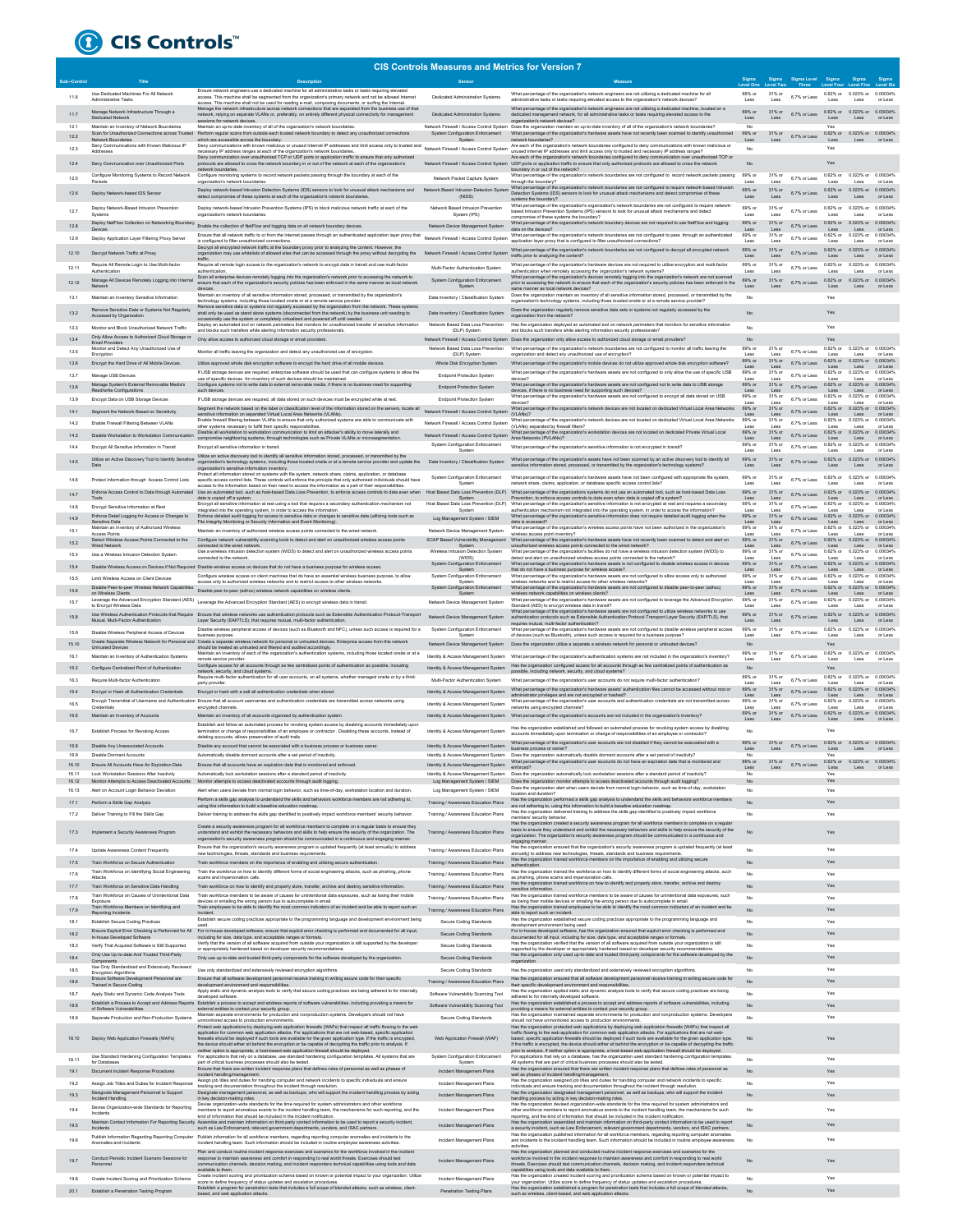

|                |                                                                                               |                                                                                                                                                                                                                                                                                                            | <b>CIS Controls Measures and Metrics for Version 7</b> |                                                                                                                                                                                                                                                                                     |                   |                |                                      |                            |                                     |                     |
|----------------|-----------------------------------------------------------------------------------------------|------------------------------------------------------------------------------------------------------------------------------------------------------------------------------------------------------------------------------------------------------------------------------------------------------------|--------------------------------------------------------|-------------------------------------------------------------------------------------------------------------------------------------------------------------------------------------------------------------------------------------------------------------------------------------|-------------------|----------------|--------------------------------------|----------------------------|-------------------------------------|---------------------|
|                |                                                                                               |                                                                                                                                                                                                                                                                                                            | Sensor                                                 |                                                                                                                                                                                                                                                                                     |                   |                | Sigma Sigma Level<br>.evel Two Three |                            |                                     |                     |
| 11.6           | Use Dedicated Machines For All Network<br>Admin<br>istrative Tasks                            | Ensure network engineers use a dedicated machine for all administrative tasks or tasks requiring elevated<br>access. This machine shall be segmented from the organization's primary network and not be allowed Internet                                                                                   | Dedicated Administration Systems                       | What percentage of the organization's network engineers are not utilizing a dedicated machine for all<br>strative tasks or tasks requiring elevated access to the organization's network devices?                                                                                   | 69% or            | 31% or         | 6.7% or Less                         |                            | 0.62% or 0.023% or 0.00034%<br>Less |                     |
|                | Manage Network Infrastructure Through a                                                       | access. This machine shall not be used for reading e-mail, composing documents, or surfing the Internet<br>Manage the network infrastructure across network connections that are separated from the business use of that                                                                                   |                                                        | What percentage of the organization's network engineers are not utilizing a dedicated machine, located on a                                                                                                                                                                         |                   | 31% or         |                                      |                            | 0.62% or 0.023% or 0.00034%         |                     |
| 11.7           | Dedicated Network                                                                             | network, relying on separate VLANs or, preferably, on entirely different physical connectivity for management<br>sessions for network devices.                                                                                                                                                             | Dedicated Administration Systems                       | dedicated management network, for all administrative tasks or tasks requiring elevated access to the<br>organization's network devices?                                                                                                                                             | Less              | Loss           | 6.7% or Less                         | Less                       | Less                                | or Less             |
| 12.1           | Maintain an Inventory of Network Boundaries                                                   | Maintain an up-to-date inventory of all of the organization's network boundaries.<br>Scan for Unauthorized Connections across Trusted Perform regular scans from outside each trusted network boundary to detect any unauthorized connections                                                              | System Configuration Enforcement                       | Network Firewall / Access Control System Does the organization maintain an up-to-date inventory of all of the organization's network boundaries?<br>What percentage of the organization's hardware assets have not recently been scanned to identify unauthorized                   | No<br>69% or      | 31% or         |                                      | Yes                        | 0.62% or 0.023% or 0.00034%         |                     |
| 12.2           | Network Boundaries<br>Deny Communications with Known Malicious IP                             | hich are accessible across the boundary.<br>Deny communications with known malicious or unused Internet IP addresses and limit access only to trusted and                                                                                                                                                  |                                                        | twork boundaries?<br>Are each of the organization's network boundaries configured to deny communications with known malicious or                                                                                                                                                    |                   |                | 6.7% or Less                         | Less<br>Yes                |                                     |                     |
| 12.3           |                                                                                               | necessary IP address ranges at each of the organization's network boundaries,<br>Deny communication over unauthorized TCP or UDP ports or application traffic to ensure that only authorized                                                                                                               | Network Firewall / Access Control System               | nused Internet IP addresses and limit access only to trusted and necessary IP address ranges?<br>Are each of the organization's network boundaries configured to deny communication over unauthorized TCP or                                                                        | No                |                |                                      |                            |                                     |                     |
|                | Deny Communication over Unauthorized Ports                                                    | protocols are allowed to cross the network boundary in or out of the network at each of the organization's<br>retwork boundaries.                                                                                                                                                                          |                                                        | Network Firewall / Access Control System UDP ports or application traffic to ensure that only authorized protocols are allowed to cross the network<br>boundary in or out of the network?                                                                                           |                   |                |                                      | Yes                        |                                     |                     |
| 12.5           | Configure Monitoring Systems to Record Network<br>Parkets                                     | Configure monitoring systems to record network packets passing through the boundary at each of the<br>organization's network boundaries                                                                                                                                                                    | Network Packet Capture System                          | What percentage of the organization's network boundaries are not configured to record network packets passing<br>through the boundary?                                                                                                                                              | 69% or<br>Less    | 31% or<br>Less | 6.7% or Less                         | Less                       | 0.62% or 0.023% or 0.00034%<br>Less | or Less             |
| 12.6           | Deploy Network-based IDS Sensor                                                               | Deploy network-based Intrusion Detection Systems (IDS) sensors to look for unusual attack mechanisms and<br>detect compromise of these systems at each of the organization's network boundaries.                                                                                                           | Network Based Intrusion Detection System<br>(NIDS)     | What percentage of the organization's network boundaries are not configured to require network-based Intrusio<br>Detection Systems (IDS) sensors to look for unusual attack mechanisms and detect compromise of these                                                               | 69% or<br>Less    | 31% or<br>Less | 6.7% or Less                         | 0.62% or<br>Less           | 0.023% or<br>Less                   | 0.00034%<br>or Less |
|                | Deploy Network-Based Intrusion Prevention                                                     | Deploy network-based Intrusion Prevention Systems (IPS) to block malicious network traffic at each of the                                                                                                                                                                                                  | Network Based Intrusion Prevention                     | systems the boundary?<br>What percentage of the organization's organization's network boundaries are not configured to require network-                                                                                                                                             | 69% or            | 31% or         |                                      | 0.62% or 0.023% or         |                                     | 0.00034%            |
| 12.7           |                                                                                               | nization's network boundaries                                                                                                                                                                                                                                                                              | System (IPS)                                           | based Intrusion Prevention Systems (IPS) sensors to look for unusual attack mechanisms and detect<br>compromise of these systems the boundary?                                                                                                                                      | Less              | Less           | 6.7% or Less                         | Less                       | Less                                | or Less             |
| 12.8           |                                                                                               | Deploy NetFlow Collection on Networking Boundary Enable the collection of NetFlow and logging data on all network boundary devices.                                                                                                                                                                        | Network Device Management System                       | What percentage of the organization's network boundary devices are not required to use NetFlow and logging<br>Caracter on the devices                                                                                                                                               | R9% or<br>Less    | 31% or<br>Less | 6.7% or Less                         | 0.62% or<br>Less           | 0.023% or<br>Less                   | 0.00034%<br>or Less |
| 12.9           | Deploy Application Layer Filtering Proxy Server                                               | Ensure that all network traffic to or from the Internet passes through an authenticated application layer proxy that<br>is configured to filter unauthorized connections.                                                                                                                                  | Network Firewall / Access Control System               | What percentage of the organization's network boundaries are not configured to pass through an authenticated<br>application layer proxy that is configured to filter unauthorized connections?                                                                                      | 69% or<br>Less    | 31% c<br>Less  | 6.7% or Less                         | 0.62% or<br>Less           | 0.023% or<br>Less                   | 0.000349<br>or Less |
| 12.10          | Decrypt Network Traffic at Proxy                                                              | Decrypt all encrypted network traffic at the boundary proxy prior to analyzing the content. However, the<br>organization may use whitelists of allowed sites that can be accessed through the proxy without decrypting the<br>traffic.                                                                     | Network Firewall / Access Control System               | What percentage of the organization's network boundaries are not configured to decrypt all encrypted network<br>traffic prior to analyzing the content?                                                                                                                             | 69% or            | 31% or<br>Less | 6.7% or Less                         | 0.62% or<br>Less           | 0.023% or<br>Less                   | 0.00034%<br>or Less |
| 12.11          | Require All Remote Login to Use Multi-factor                                                  | Require all remote login access to the organization's network to encrypt data in transit and use multi-factor                                                                                                                                                                                              | Multi-Factor Authentication System                     | What percentage of the organization's hardware devices are not required to utilize encryption and multi-factor                                                                                                                                                                      | 69% or            | 31% or         | 6.7% or Less                         | 0.62% or                   | 0.023% or                           | 0.00034%            |
|                | Authentication<br>Manage All Devices Remotely Logging into Internal                           | authentication.<br>Scan all enterprise devices remotely logging into the organization's network prior to accessing the network to                                                                                                                                                                          | System Configuration Enforcement                       | authentication when remotely accessing the organization's network systems?<br>What percentage of the organization's devices remotely logging into the organization's network are not scanner                                                                                        | Less<br>69% or    | Less<br>31% or | 6.7% or Less                         | Less                       | Less<br>0.62% or 0.023% or 0.00034% | or Less             |
| 12.12          | Netw                                                                                          | ensure that each of the organization's security policies has been enforced in the same manner as local network<br>Maintain an inventory of all sensitive information stored, processed, or transmitted by the organization's                                                                               | System                                                 | prior to accessing the network to ensure that each of the organization's security policies has been enforced in the<br>me manner as local network devices?<br>Does the organization maintain an inventory of all sensitive information stored, processed, or transmitted by the     | Less              | Loss           |                                      | Less                       | Less                                | or Less             |
| 13.1           | Maintain an Inventory Sensitive Information                                                   | echnology systems, including those located onsite or at a remote service provider                                                                                                                                                                                                                          | Data Inventory / Classification System                 | organization's technology systems, including those located onsite or at a remote service provider's                                                                                                                                                                                 | No                |                |                                      | Yes                        |                                     |                     |
|                | Remove Sensitive Data or Systems Not Regularly<br>Accessed by Organization                    | Remove sensitive data or systems not regularly accessed by the organization from the network. These systems hall only be used as stand alone systems (disconnected from the network) by the business unit needing to<br>ccasionally use the system or completely virtualized and powered off until needed. | Data Inventory / Classification System                 | Does the organization regularly remove sensitive data sets or systems not regularly accessed by the<br>organization from the network?                                                                                                                                               |                   |                |                                      | Yes                        |                                     |                     |
| 13.3           | Monitor and Block Unauthorized Network Traffic                                                | Deploy an automated tool on network perimeters that monitors for unauthorized transfer of sensitive information<br>and blocks such transfers while alerting information security professionals.                                                                                                            | Network Based Data Loss Prevention<br>(DLP) System     | Has the organization deployed an automated tool on network perimeters that monitors for sensitive information<br>and blocks such transfers while alerting information security professionals?                                                                                       | No                |                |                                      | Yes                        |                                     |                     |
| 13.4           | Only Allow Access to Authorized Cloud Storage or<br>Email Providers                           | Only allow access to authorized cloud storage or email providers.                                                                                                                                                                                                                                          |                                                        | Network Firewall / Access Control System Does the organization only allow access to authorized cloud storage or email providers?                                                                                                                                                    | <b>No</b>         |                |                                      | Yes                        |                                     |                     |
| 13.5           | Monitor and Detect Any Unauthorized Use of<br>Encryption                                      | Monitor all traffic leaving the organization and detect any unauthorized use of encryption                                                                                                                                                                                                                 | Network Based Data Loss Prevention<br>(DLP) System     | What percentage of the organization's network boundaries are not configured to monitor all traffic leaving the<br>organization and detect any unauthorized use of encryption?                                                                                                       | 69% or<br>Less    | 31% or<br>Less | 6.7% or Less                         | Less                       | 0.62% or 0.023% or 0.00034%<br>Less | or Less             |
| 13.6           | Encrypt the Hard Drive of All Mobile Devices                                                  | Utilize approved whole disk encryption software to encrypt the hard drive of all mobile devices                                                                                                                                                                                                            | Whole Disk Encryption System                           | What percentage of the organization's mobile devices do not utilize approved whole disk encryption software?                                                                                                                                                                        | 69% or<br>Less    | 31% or<br>Less | 6.7% or Less                         | Less                       | 0.62% or 0.023% or 0.00034%<br>Less | or Less             |
| 13.7           | Manage USB Devices                                                                            | If USB storage devices are required, enterprise software should be used that can configure systems to allow the<br>use of specific devices. An inventory of such devices should be maintained.                                                                                                             | <b>Endpoint Protection System</b>                      | What percentage of the organization's hardware assets are not configured to only allow the use of specific USB<br>devices?                                                                                                                                                          | 69% or<br>Less    | 31% or<br>Less | 6.7% or Less                         | 0.62% or<br>Less           | 0.023% or 0.00034%<br>Less          | or Less             |
| 13.8           | Manage System's External Removable Media's<br>Read/write Configurations                       | Configure systems not to write data to external removable media, if there is no business need for supporting                                                                                                                                                                                               | <b>Endpoint Protection System</b>                      | What percentage of the organization's hardware assets are not configured not to write data to USB storage<br>devices, if there is no business need for supporting such devices?                                                                                                     | 69% or<br>Less    | 31% c<br>Less  | 6.7% or Less                         | 0.62% or<br>Less           | 0.023% or<br>Less                   | 0.00034%<br>or Less |
| 13.9           | Encrypt Data on USB Storage Devices                                                           | If USB storage devices are required, all data stored on such devices must be encrypted while at rest.                                                                                                                                                                                                      | <b>Endpoint Protection System</b>                      | What percentage of the organization's hardware assets are not configured to encrypt all data stored on USB<br>devices?                                                                                                                                                              | 69% or<br>Less    | 31% or<br>Loss | 6.7% or Less                         | $0.62\%$ or<br>Loss        | 0.023% or<br>Less                   | 0.000349<br>or Less |
| 14.1           | Segment the Network Based on Sensitivity                                                      | Segment the network based on the label or classification level of the information stored on the servers, locate all<br>sensitive information on separated Virtual Local Area Networks (VLANs).                                                                                                             | Network Firewall / Access Control System               | hat percentage of the organization's network devices are not located on dedicated Virtual Local Area Networks<br>(VLANs)?                                                                                                                                                           | 69% or<br>Less    | 31% or<br>Less | 6.7% or Less                         | $0.62\%$ or<br>Less        | 0.023% or<br>Less                   | 0.000349<br>or Less |
| 14.2           | Foable Firewall Filtering Between VLANs                                                       | Enable firewall filtering between VLANs to ensure that only authorized systems are able to communicate with<br>other systems necessary to fulfill their specific responsibilities                                                                                                                          | Network Firewall / Access Control System               | What percentage of the organization's network devices are not located on dedicated Virtual Local Area Networks<br>(VLANs) separated by firewall filters?                                                                                                                            | 69% or            | 31% or         | 6.7% or Less                         | 0.62% or 0.023% or         |                                     | 0.00034%<br>or Less |
| 14.3           | Disable Workstation to Workstation Communication                                              | Disable all workstation to workstation communication to limit an attacker's ability to move laterally and<br>compromise neighboring systems, through technologies such as Private VLANs or m                                                                                                               | Network Firewall / Access Control System               | What percentage of the organization's workstation devices are not located on dedicated Private Virtual Local<br>Area Networks (PVLANs)?                                                                                                                                             | 69% or<br>Less    | 31% or<br>Less | 6.7% or Less                         | 0.62% or<br>Less           | 0.023% or<br>Less                   | 0.00034%<br>or Less |
| 14.4           | Encrypt All Sensitive Information in Transit                                                  | Encrypt all sensitive information in transit.                                                                                                                                                                                                                                                              | System Configuration Enforcement                       | What percentage of the organization's sensitive information is not encrypted in transit?                                                                                                                                                                                            | 69% or<br>Less    | 31% or<br>Less | 6.7% or Less                         | 0.62% or<br>Less           | 0.023% or<br>Less                   | 0.00034%<br>or Less |
|                | Utilize an Active Discovery Tool to Identify Sensitive                                        | Utilize an active discovery tool to identify all sensitive information stored, processed, or transmitted by the<br>organization's technology systems, including those located onsite or at a remote service provider and update the                                                                        | Data Inventory / Classification System                 | What percentage of the organization's assets have not been scanned by an active discovery tool to identify all<br>sensitive information stored, processed, or transmitted by the organization's technology systems?                                                                 | 69% or            | 31% or<br>Less | 6.7% or Less                         | 0.62% or<br>Less           | 0.023% or                           | 0.00034%<br>or Less |
|                |                                                                                               | anization's sensitive information inventory<br>Protect all information stored on systems with file system, network share, claims, application, or database                                                                                                                                                 | System Configuration Enforcement                       | What percentage of the organization's hardware assets have not been configured with appropriate file system,                                                                                                                                                                        | Less<br>69% or    | 31% or         |                                      | 0.62% or 0.023% or         | Less                                | 0.00034%            |
| 14.6           | Protect Information through Access Control Lists                                              | specific access control lists. These controls will enforce the principle that only authorized individuals should have<br>access to the information based on their need to access the information as a part of their responsibilities                                                                       | System                                                 | network share, claims, application, or database specific access control lists'                                                                                                                                                                                                      | Less              | Less           | 6.7% or Less                         | Less                       | Less                                | or Less             |
| 14.7           | Enforce Access Control to Data through Automated<br>Tools                                     | Use an automated tool, such as host-based Data Loss Prevention, to enforce access controls to data even when<br>data is copied off a system.                                                                                                                                                               | Host Based Data Loss Prevention (DLP)<br>System        | What percentage of the organizations systems do not use an automated tool, such as host-based Data Loss<br>Prevention, to enforce access controls to data even when data is copied off a system?                                                                                    | 69% or<br>Less    | 31% or<br>Less | 6.7% or Less                         | $0.62\%$ or<br>Less        | 0.023% or<br>Less                   | 0.00034%<br>or Less |
| 14.8           | Encrypt Sensitive Information at Rest                                                         | Encrypt all sensitive information at rest using a tool that requires a secondary authentication mechanism not<br>integrated into the operating system, in order to access the information.                                                                                                                 | Host Based Data Loss Prevention (DLP)<br>System        | What percentage of the organization's sensitive information is not encrypted at rest and requires a secondary<br>authentication mechanism not integrated into the operating system, in order to access the information?                                                             | 69% or<br>Less    | 31% or<br>Loss | 6.7% or Less                         | $0.62\%$ or<br>Loss        | 0.023% or<br>Less                   | 0.00034%<br>or Less |
| 14.9           | Enforce Detail Logging for Access or Changes to<br>Sensitive Data                             | Enforce detailed audit logging for access to sensitive data or changes to sensitive data (utilizing tools such as<br>File Integrity Monitoring or Security Information and Event Monitoring).                                                                                                              | Log Management System / SIEM                           | What percentage of the organization's sensitive information does not require detailed audit logging when the<br>data is accessed?                                                                                                                                                   | 69% or            | 31% or         | 6.7% or Less                         | $0.62%$ or<br>Less         | 0.023% or<br>Less                   | 0.00034%<br>or Less |
| 15.1           | Maintain an Inventory of Authorized Wireless<br>Access Points                                 | Maintain an inventory of authorized wireless access points connected to the wired network.                                                                                                                                                                                                                 | Network Device Management System                       | What percentage of the organization's wireless access points have not been authorized in the organization's<br>wireless access point inventory?                                                                                                                                     | 69% or            | 31% or<br>Less | 6.7% or Less                         | 0.62% or<br>Les            | 0.023% or<br>Less                   | 0.00034%<br>or Less |
| 15.2           | Detect Wireless Access Points Connected to the<br>Wired Network                               | Configure network vulnerability scanning tools to detect and alert on unauthorized wireless access points<br>connected to the wired network.                                                                                                                                                               | SCAP Based Vulnerability Management<br>System          | What percentage of the organization's hardware assets have not recently been scanned to detect and alert on<br>unauthorized wireless access points connected to the wired network?                                                                                                  | 69% or<br>Less    | 31% or<br>Less | 6.7% or Less                         | Less                       | 0.62% or 0.023% or 0.00034%<br>Less | or Less             |
| 15.3           | Use a Wireless Intrusion Detection System                                                     | Use a wireless intrusion detection system (WIDS) to detect and alert on unauthorized wireless access points<br>connected to the network                                                                                                                                                                    | Wireless Intrusion Detection System<br>(WIDS)          | What percentage of the organization's facilities do not have a wireless intrusion detection system (WIDS) to<br>ect and alert on unauthorized wireless access points connected to the network?                                                                                      | 69% or<br>Less    | 31% or         | 6.7% or Less                         |                            | 0.62% or 0.023% or<br>Less          | 0.00034%<br>or Less |
| 15.4           |                                                                                               | Disable Wireless Access on Devices if Not Required Disable wireless access on devices that do not have a business purpose for wireless access.                                                                                                                                                             | System Configuration Enforcement<br>System             | What percentage of the organization's hardware assets is not configured to disable wireless access in devices<br>that do not have a business purpose for wireless access?                                                                                                           | 69% or<br>Less    | 31% or<br>Less | 6.7% or Less                         | Less                       | 0.62% or 0.023% or 0.00034%<br>Less | or Less             |
| 15.5           | Limit Wireless Access on Client Devices                                                       | Configure wireless access on client machines that do have an essential wireless business purpose, to allow<br>access only to authorized wireless networks and to restrict access to other wireless networks.                                                                                               | System Configuration Enforcement<br>System             | What percentage of the organization's hardware assets are not configured to allow access only to authorized<br>wireless networks and to restrict access for other wireless networks?                                                                                                | 69% or<br>Less    | 31% or<br>Less | 6.7% or Less                         | 0.62% or<br>Less           | 0.023% or<br>Less                   | 0.000349<br>or Less |
| 15.6           | Disable Peer-to-peer Wireless Network Capabilities<br>on Wireless Clients                     | Disable peer-to-peer (adhoc) wireless network capabilities on wireless clients                                                                                                                                                                                                                             | System Configuration Enforcement<br>System             | What percentage of the organization's hardware assets are not configured to disable peer-to-peer (adhoc)<br>wireless network capabilities on wireless clients?                                                                                                                      | 69% or<br>Less    | 31% or<br>Less | 6.7% or Less                         | 0.62% or 0.023% or<br>Less | Less                                | 0.00034%<br>or Less |
| 15.7           | to Encrypt Wireless Data                                                                      | on villages the Advanced Encryption Standard (AES)<br>Leverage the Advanced Encryption Standard (AES) Leverage the Advanced Encryption Standard (AES) to encrypt wireless data in transit.                                                                                                                 | Network Device Management System                       | What percentage of the organization's hardware assets are not configured to leverage the Advanced Encryption<br>Standard (AES) to encrypt wireless data in transit?<br>What percentage of the organization's hardware assets are not configured to utilize wireless networks to use | 69% or<br>Less    | 31% or<br>Less | 6.7% or Less                         | 0.62% or<br>Less           | 0.023% or<br>Less                   | 0.00034%<br>or Less |
| 15.8           | Mutual, Multi-Factor Authentication                                                           | Use Wireless Authentication Protocols that Require Ensure that wireless networks use authentication protocols such as Extensible Authentication Protocol-Transport<br>Layer Security (EAP/TLS), that requires mutual, multi-factor authentication.                                                         | Network Device Management System                       | authentication protocols such as Extensible Authentication Protocol-Transport Layer Security (EAP/TLS), that                                                                                                                                                                        | 69% or<br>Less    | 31% or<br>Less | 6.7% or Less                         | 0.62% or 0.023% or<br>Less | Less                                | 0.00034%<br>or Less |
| 15.9           | Disable Wireless Peripheral Access of Devices                                                 | Disable wireless peripheral access of devices (such as Bluetooth and NFC), unless such access is required for a                                                                                                                                                                                            | System Configuration Enforcement                       | requires mutual, multi-factor authentication?<br>What percentage of the organization's hardware assets are not configured to disable wireless peripheral access                                                                                                                     | 69% or            | 31% or         | 6.7% or Less                         | 0.62% or                   | 0.023% or                           | 0.00034%            |
| 15.10          |                                                                                               | business purpose.<br>Create Separate Wireless Network for Personal and Create a separate wireless network for personal or untrusted devices. Enterprise access from this network                                                                                                                           | System                                                 | of devices (such as Bluetooth), unless such access is required for a business purpose?<br>Network Device Management System  Does the organization utilize a separate a wireless network for personal or untrusted devices?                                                          | Less<br><b>No</b> | Less           |                                      | Less<br>Yes                | Less                                | or Less             |
| 16.1           | <b>Untrusted Devices</b><br>Maintain an Inventory of Authentication Systems                   | should be treated as untrusted and filtered and audited accordingly.<br>Maintain an inventory of each of the organization's authentication systems, including those located onsite or at a<br>remote service provider                                                                                      | Identity & Access Management System                    | What percentage of the organization's authentication systems are not included in the organization's inventory?                                                                                                                                                                      | 69% or<br>Less    | 31% or<br>Less | 6.7% or Less                         | Less                       | 0.62% or 0.023% or 0.00034%<br>Less | or Less             |
| 16.2           | Configure Centralized Point of Authentication                                                 | Configure access for all accounts through as few centralized points of authentication as possible, including<br>network, security, and cloud systems                                                                                                                                                       | Identity & Access Management System                    | Has the organization configured access for all accounts through as few centralized points of authentication as<br>possible, including network, security, and cloud systems?                                                                                                         | <b>No</b>         |                |                                      | Yes                        |                                     |                     |
| 16.3           | Require Multi-factor Authentication                                                           | Require multi-factor authentication for all user accounts, on all systems, whether managed onsite or by a third-<br>party provider                                                                                                                                                                         | Multi-Factor Authentication System                     | What percentage of the organization's user accounts do not require multi-factor authentication?                                                                                                                                                                                     | 69% or<br>Less    | 31% or<br>Less | 6.7% or Less                         | Lost                       | 0.62% or 0.023% or 0.00034%         | or Less             |
| 16.4           | Encrypt or Hash all Authentication Credentials                                                | Encrypt or hash with a salt all authentication credentials when stored.                                                                                                                                                                                                                                    | Identity & Access Management System                    | What percentage of the organization's hardware assets' authentication files cannot be accessed without root or<br>administrator privileges and are not encrypted or hashed?                                                                                                         | 69% or<br>Less    | 31% or<br>Less | 6.7% or Less                         | Less                       | 0.62% or 0.023% or 0.00034%<br>Less | or Less             |
| 16.5           |                                                                                               | Encrypt Transmittal of Username and Authentication Ensure that all account usemames and authentication credentials are transmitted across networks using<br>encrypted channels                                                                                                                             | Identity & Access Management System                    | What percentage of the organization's user accounts and authentication credentials are not transmitted across<br>networks using encrypted channels?                                                                                                                                 | 69% or            | 31% or         | 6.7% or Less                         | Less                       | 0.62% or 0.023% or<br>Less          | 0.00034%<br>or Less |
| 16.6           | Maintain an Inventory of Accounts                                                             | Maintain an inventory of all accounts organized by authentication system.                                                                                                                                                                                                                                  | Identity & Access Management System                    | What percentage of the organization's accounts are not included in the organization's inventory?                                                                                                                                                                                    | 69% or<br>Less    | 31% or<br>Less | 6.7% or Less                         | Less                       | 0.62% or 0.023% or 0.00034%<br>Less | or Less             |
| 16.7           | Establish Process for Revoking Access                                                         | Establish and follow an automated process for revoking system access by disabling accounts immediately upor<br>termination or change of responsibilities of an employee or contractor . Disabling these accounts, instead of                                                                               | Identity & Access Management System                    | Has the organization established and followed an automated process for revoking system access by disabling                                                                                                                                                                          | No                |                |                                      |                            |                                     |                     |
|                |                                                                                               | deleting accounts, allows preservation of audit trails                                                                                                                                                                                                                                                     |                                                        | accounts immediately upon termination or change of responsibilities of an employee or contractor?<br>What percentage of the organization's user accounts are not disabled if they cannot be associated with a                                                                       | 69% or            |                | $31\%$ or $6.7\%$ or Less            |                            | 0.62% or 0.023% or 0.00034%         |                     |
| 16.8<br>16.9   | Disable Any Unassociated Accounts<br><b>Disable Dormant Accounts</b>                          | Disable any account that cannot be associated with a business process or business owner<br>Automatically disable dormant accounts after a set period of inactivity                                                                                                                                         | Identity & Access Management System                    | business process or owner?<br>Identity & Access Management System  Does the organization automatically disable dormant accounts after a set period of inactivity?                                                                                                                   | Less<br>No        | Less           |                                      | Less<br>Yes                |                                     | Less or Less        |
| 16.10          | Forum All Accou<br>ints Have An Exc<br>iration Date                                           | Fosure that all                                                                                                                                                                                                                                                                                            | <b>Identity &amp; Access Mana</b>                      | e of the ora<br>s do not b<br>enforced?                                                                                                                                                                                                                                             | Less              | Less           | 6.7% or Less                         | 62%<br>Less                | Less or Less                        |                     |
| 16.11          | Lock Workstation Sessions After Inactivity<br>Monitor Attempts to Access Deactivated Accounts | Automatically lock workstation sessions after a standard period of inactivity                                                                                                                                                                                                                              |                                                        | Identity & Access Management System  Does the organization automatically lock workstation sessions after a standard period of inactivity?                                                                                                                                           | No                |                |                                      | Yes<br>Yes                 |                                     |                     |
| 16.12<br>16.13 | Alert on Account Login Behavior Deviation                                                     | Monitor attempts to access deactivated accounts through audit logging.<br>Alert when users deviate from normal login behavior, such as time-of-day, workstation location and duration                                                                                                                      | Log Management System / SIEM                           | Log Management System / SIEM  Does the organization monitor attempts to access deactivated accounts through audit logging?<br>Does the organization alert when users deviate from normal login behavior, such as time-of-day, workstation                                           | No                |                |                                      | Yes                        |                                     |                     |
| 17.1           | Perform a Skills Gao Analysis                                                                 | Perform a skills gap analysis to understand the skills and behaviors workforce members are not adhering to,                                                                                                                                                                                                | Training / Awareness Education Plans                   | location and duration?<br>Has the organization performed a skills gap analysis to understand the skills and behaviors workforce members                                                                                                                                             |                   |                |                                      | Yes                        |                                     |                     |
| 17.2           | Deliver Training to Fill the Skills Gap                                                       | using this information to build a baseline education roadm<br>Deliver training to address the skills gap identified to positively impact workforce members' security behavior.                                                                                                                             | Training / Awareness Education Plans                   | are not adhering to, using this information to build a baseline education roadmap<br>Has the organization delivered training to address the skills gap identified to positively impact workforce<br>members' security behavior.                                                     |                   |                |                                      | Yes                        |                                     |                     |
|                |                                                                                               | Create a security awareness program for all workforce members to complete on a regular basis to ensure they                                                                                                                                                                                                |                                                        | Has the organization created a security awareness program for all workforce members to complete on a regula<br>basis to ensure they understand and exhibit the necessary behaviors and skills to help ensure the security of the                                                    |                   |                |                                      |                            |                                     |                     |
| 17.3           | Implement a Security Awareness Program                                                        | understand and exhibit the necessary behaviors and skills to help ensure the security of the organization. The<br>organization's security awareness program should be communicated in a continuous and engaging manner.                                                                                    | Training / Awareness Education Plans                   | organization. The organization's security awareness program should be communicated in a continuous and<br>ging manner.                                                                                                                                                              | No.               |                |                                      | Yes                        |                                     |                     |
| 17.4           | Update Awareness Content Frequently                                                           | Ensure that the organization's security awareness program is updated frequently (at least annually) to address<br>tew technologies, threats, standards and business requirer                                                                                                                               | Training / Awareness Education Plans                   | Has the organization ensured that the organization's security awareness program is updated frequently (at least<br>nually) to address new technologies, threats, standards and business requ                                                                                        | No                |                |                                      | Yes                        |                                     |                     |
| 17.5           | Train Workforce on Secure Authentication                                                      | Train workforce members on the importance of enabling and utilizing secure authentication.                                                                                                                                                                                                                 | Training / Awareness Education Plans                   | Has the organization trained workforce members on the importance of enabling and utilizing secure                                                                                                                                                                                   | No.               |                |                                      | Yes                        |                                     |                     |
| 17.6           | Train Workforce on Identifying Social Engineering<br>Attacks                                  | Train the workforce on how to identify different forms of social engineering attacks, such as phishing, phone<br>scams and impersonation calls                                                                                                                                                             | Training / Awareness Education Plans                   | Has the organization trained the workforce on how to identify different forms of social engineering attacks, such<br>as phishing, phone scams and impersonation calls.                                                                                                              | No                |                |                                      | Yes                        |                                     |                     |
| 17.7           | Train Workforce on Sensitive Data Handling                                                    | Train workforce on how to identify and properly store, transfer, archive and destroy sensitive information.                                                                                                                                                                                                | Training / Awareness Education Plans                   | anization trained workforce on how to identify and properly store, transfer, archive and destroy<br>Has the org<br>sensitive information.                                                                                                                                           | No                |                |                                      | Yes                        |                                     |                     |
| 17.8           | Train Workforce on Causes of Unintentional Data<br>Exposure                                   | Train workforce members to be aware of causes for unintentional data exposures, such as losing their mobile<br>devices or emailing the wrong person due to autocomplete in email.                                                                                                                          | Training / Awareness Education Plans                   | Has the organization trained workforce members to be aware of causes for unintentional data exposures, such<br>as losing their mobile devices or emailing the wrong person due to autocomplete in email.                                                                            | No                |                |                                      | Yes                        |                                     |                     |
| 17.9           | Train Workforce Members on Identifying and<br>Reporting Incidents                             | Train employees to be able to identify the most common indicators of an incident and be able to report such an<br>incident.                                                                                                                                                                                | Training / Awareness Education Plans                   | Has the<br>organization trained employees to be able to identify the most common indicators of an incident and be<br>able to report such an incident.                                                                                                                               |                   |                |                                      | Yes                        |                                     |                     |
| 18.1           | Establish Secure Coding Practices                                                             | Establish secure coding practices appropriate to the programming language and development environment being                                                                                                                                                                                                | Secure Coding Standards                                | Has the organization established secure coding practices appropriate to the programming language and<br>development environment being used.                                                                                                                                         | No                |                |                                      | Yes                        |                                     |                     |
| 18.2           | Ensure Explicit Error Checking is Performed for All<br>In-house Developed Software            | For in-house developed software, ensure that explicit error checking is performed and documented for all input,<br>including for size, data type, and acceptable ranges or formats.                                                                                                                        | Secure Coding Standards                                | For in-house developed software, has the organization ensured that explicit error checking is performed and<br>documented for all input, including for size, data type, and acceptable ranges or formats.                                                                           | No                |                |                                      | Yes                        |                                     |                     |
| 18.3           | Verify That Acquired Software is Still Supported                                              | Verify that the version of all software acquired from outside your organization is still supported by the developer<br>appropriately hardened based on developer security rec                                                                                                                              | Secure Coding Standards                                | Has the organization verified that the version of all software acquired from outside your organization is still<br>orted by the developer or appropriately hardened based on developer security reco                                                                                | No                |                |                                      | Yes                        |                                     |                     |
| 18.4           | Only Use Up-to-date And Trusted Third-Party                                                   | Only use up-to-date and trusted third-party components for the software developed by the organization.                                                                                                                                                                                                     | Secure Coding Standards                                | Has the organization only used up-to-date and trusted third-party components for the software developed by the                                                                                                                                                                      | No.               |                |                                      | Yes                        |                                     |                     |
| 18.5           | Use Only Standardized and Extensively Reviewed<br><b>Encryption Algorithms</b>                | Use only standardized and extensively reviewed encryption algorithms.                                                                                                                                                                                                                                      | Secure Coding Standards                                | Has the organization used only standardized and extensively reviewed encryption algorithms.                                                                                                                                                                                         | No                |                |                                      | Yes                        |                                     |                     |
| 18.6           | Ensure Software Development Personnel are<br>Trained in Secure Coding                         | Ensure that all software development personnel receive training in writing secure code for their specific<br>development environment and responsibilities.                                                                                                                                                 | Training / Awareness Education Plans                   | Has the organization ensured that all software development personnel receive training in writing secure code for<br>their specific development environment and responsibilities.                                                                                                    | No.               |                |                                      | Yes                        |                                     |                     |
|                | Apply Static and Dynamic Code Analysis Tools                                                  | Apply static and dynamic analysis tools to verify that secure coding practices are being adhered to for internally<br>developed software                                                                                                                                                                   | Software Vulnerability Scanning Tool                   | Has the organization applied static and dynamic analysis tools to verify that secure coding practices are being<br>adhered to for internally developed software.                                                                                                                    |                   |                |                                      | Yes                        |                                     |                     |
| 18.8           | Establish a Process to Accept and Address Reports<br>of Software Vulnerabilities              | Establish a process to accept and address reports of software vulnerabilities, including providing a means for<br>external entities to contact your security group.                                                                                                                                        | Software Vulnerability Scanning Tool                   | Has the organization established a process to accept and address reports of software vulnerabilities, including<br>providing a means for external entities to contact your security group.                                                                                          |                   |                |                                      | Yes                        |                                     |                     |
| 18.9           | Separate Production and Non-Production Systems                                                | Maintain separate environments for production and nonproduction systems. Developers should not have<br>unmonitored access to production environments.                                                                                                                                                      | Secure Coding Standards                                | Has the organization maintained separate environments for production and nonproduction systems. Developers<br>should not have unmonitored access to production environments.                                                                                                        | No                |                |                                      | Yes                        |                                     |                     |
|                |                                                                                               | Protect web applications by deploying web application firewalls (WAFs) that inspect all traffic flowing to the web<br>application for common web application attacks. For applications that are not web-based, specific application                                                                        |                                                        | Has the organization protected web applications by deploying web application firewalls (WAFs) that inspect all<br>traffic flowing to the web application for common web application attacks. For applications that are not web-                                                     |                   |                |                                      |                            |                                     |                     |
| 18.10          | Deploy Web Application Firewalls (WAFs)                                                       | irewalls should be deployed if such tools are available for the given application type. If the traffic is encrypted,<br>the device should either sit behind the encryption or be capable of decrypting the traffic prior to analysis. If                                                                   | Web Application Firewall (WAF)                         | based, specific application firewalls should be deployed if such tools are available for the given application type.<br>If the traffic is encrypted, the device should either sit behind the encryption or be capable of decrypting the traffic                                     |                   |                |                                      | Yes                        |                                     |                     |
| 18.11          | Use Standard Hardening Configuration Templates                                                | neither option is appropriate, a host-based web application firewall should be deployed.<br>For applications that rely on a database, use standard hardening configuration templates. All systems that are                                                                                                 | System Configuration Enforcement                       | prior to analysis. If neither option is appropriate, a host-based web application firewall should be deployed.<br>For applications that rely on a database, has the organization used standard hardening configuration templates.                                                   |                   |                |                                      | Yes                        |                                     |                     |
| 19.1           | for Databases<br>Document Incident Response Procedures                                        | part of critical business processes should also be tested.<br>Ensure that there are written incident response plans that defines roles of personnel as well as phases of                                                                                                                                   | Svstem<br>Incident Management Plans                    | All systems that are part of critical business processes should also be tested.<br>Has the organization ensured that there are written incident response plans that defines roles of personnel as                                                                                   | No                |                |                                      | Yes                        |                                     |                     |
| 19.2           | Assign Job Titles and Duties for Incident Response                                            | incident handling/management.<br>Assign job titles and duties for handling computer and network incidents to specific individuals and ensure                                                                                                                                                               | Incident Management Plans                              | well as phases of incident handling/management.<br>Has the organization assigned job titles and duties for handling computer and network incidents to specific                                                                                                                      | No                |                |                                      | Yes                        |                                     |                     |
| 19.3           | Designate Management Personnel to Support                                                     | tracking and documentation throughout the incident through resolution.<br>Designate management personnel, as well as backups, who will support the incident handling process by acting                                                                                                                     | Incident Management Plans                              | individuals and ensure tracking and documentation throughout the incident through resolution<br>Has the organization designated management personnel, as well as backups, who will support the incident                                                                             | No                |                |                                      | Yes                        |                                     |                     |
|                | t Handling<br>Devise Organization-wide Standards for Reporting                                | in key decision-<br>Devise organization-wide standards for the time required for system administrators and other workforce                                                                                                                                                                                 |                                                        | handling process by acting in key decision-making roles.<br>Has the organization devised organization wide standards for the time required for system administrators and                                                                                                            |                   |                |                                      |                            |                                     |                     |
| 19.4           |                                                                                               | members to report anomalous events to the incident handling team, the mechanisms for such reporting, and the<br>kind of information that should be included in the incident notification.                                                                                                                  | Incident Management Plans                              | other workforce members to report anomalous events to the incident handling team, the mechanisms for such<br>reporting, and the kind of information that should be included in the incident notification.                                                                           | No                |                |                                      | Yes                        |                                     |                     |
| 19.5           | Maintain Contact Information For Reporting Security                                           | Assemble and maintain information on third-party contact information to be used to report a security incident,<br>such as Law Enforcement, relevant government departments, vendors, and ISAC partners                                                                                                     | Incident Management Plans                              | Has the organization assembled and maintain information on third-party contact information to be used to report<br>a security incident, such as Law Enforcement, relevant government departments, vendors, and ISAC partners.                                                       | No                |                |                                      | Yes                        |                                     |                     |
| 19.6           | Anomalies and Incidents                                                                       | Publish Information Regarding Reporting Computer Publish information for all workforce members, regarding reporting computer anomaties and incidents to the<br>incident handling team. Such information should be included in routine employee awareness activities.                                       | Incident Management Plans                              | Has the organization published information for all workforce members, regarding reporting computer anomaties<br>and incidents to the incident handling team. Such information should be included in routine employee awareness                                                      | No                |                |                                      | Yes                        |                                     |                     |
|                |                                                                                               | Plan and conduct routine incident response exercises and scenarios for the workforce involved in the incident                                                                                                                                                                                              |                                                        | activities.<br>Has the organization planned and conducted routine incident response exercises and scenarios for the                                                                                                                                                                 |                   |                |                                      |                            |                                     |                     |
| 19.7           | Conduct Periodic Incident Scenario Sessions for                                               | response to maintain awareness and comfort in responding to real world threats. Exercises should test<br>communication channels, decision making, and incident responders technical capabilities using tools and data                                                                                      | Incident Management Plans                              | workforce involved in the incident response to maintain awareness and comfort in responding to real world<br>threats. Exercises should test communication channels, decision making, and incident responders technical                                                              | No                |                |                                      | Yes                        |                                     |                     |
| 19.8           | Create Incident Scoring and Prioritization Schema                                             | available to them.<br>Create incident scoring and prioritization schema based on known or potential impact to your organization. Utilize                                                                                                                                                                   | Incident Management Plans                              | capabilities using tools and data available to them.<br>Has the organization created incident scoring and prioritization schema based on known or potential impact to                                                                                                               | No                |                |                                      | Yes                        |                                     |                     |
| 20.1           | Establish a Penetration Testing Program                                                       | score to define frequency of status updates and escalation procedures.<br>Establish a program for penetration tests that includes a full scope of blended attacks, such as wireless, client-<br>based, and web application attacks                                                                         | Penetration Testing Plans                              | your organization. Utilize score to define frequency of status updates and escalation procedures<br>Has the organization established a program for penetration tests that includes a full scope of blended attacks,<br>uch as wireless, client-based, and web application attacks   | No.               |                |                                      | Yes                        |                                     |                     |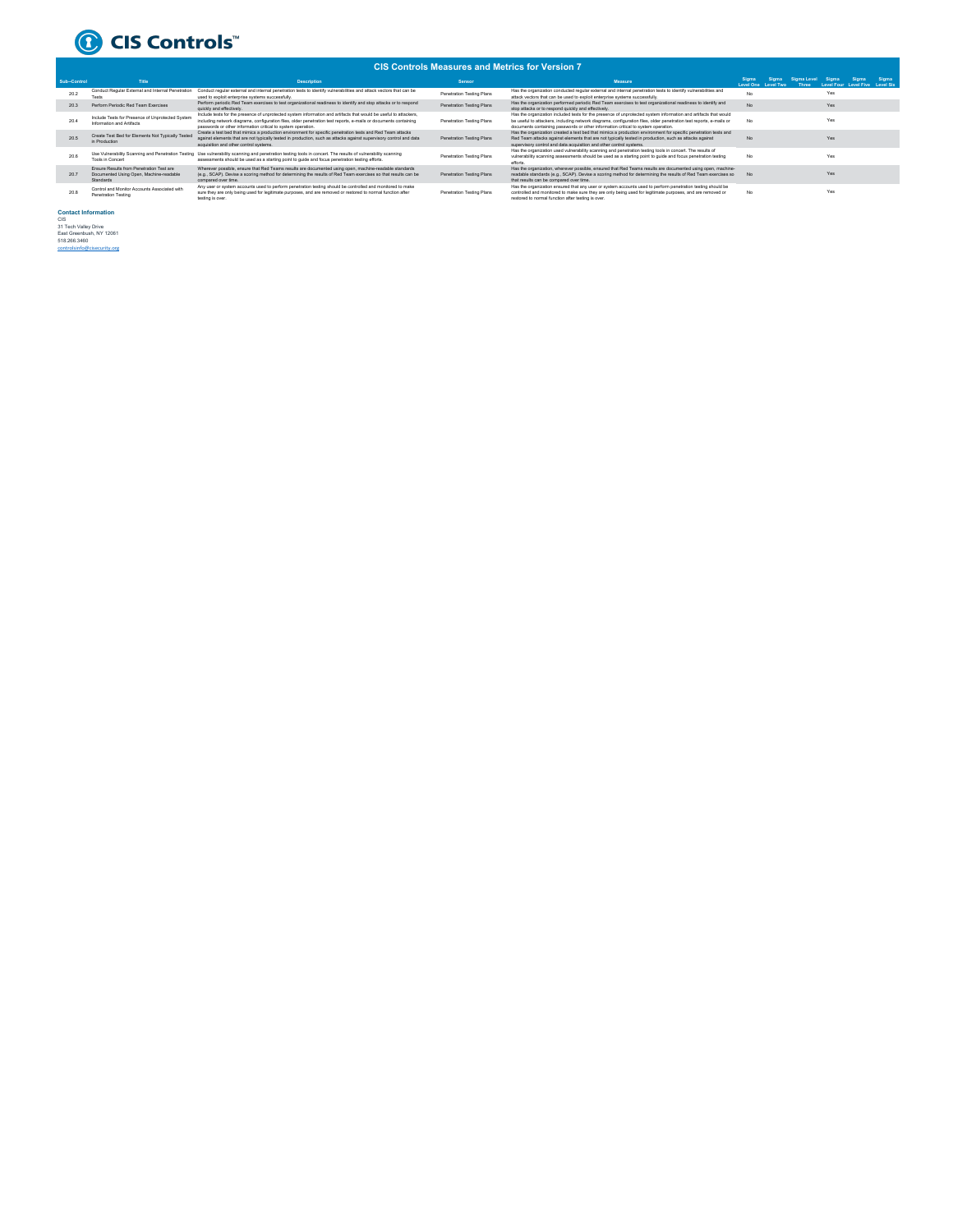

## **CIS Controls Measures and Metrics for Version 7**

|  | vio vviinvis meesvits and men vs ivi velsivil. |                                                                                                  |                                                                                                                                                                                                                                                                                                       |                           |                                                                                                                                                                                                                                                                                                                             |                    |                    |                      |                                          |         |       |
|--|------------------------------------------------|--------------------------------------------------------------------------------------------------|-------------------------------------------------------------------------------------------------------------------------------------------------------------------------------------------------------------------------------------------------------------------------------------------------------|---------------------------|-----------------------------------------------------------------------------------------------------------------------------------------------------------------------------------------------------------------------------------------------------------------------------------------------------------------------------|--------------------|--------------------|----------------------|------------------------------------------|---------|-------|
|  | Sub-Control                                    | Title                                                                                            | <b>Description</b>                                                                                                                                                                                                                                                                                    | Sensor                    | Measure                                                                                                                                                                                                                                                                                                                     | Siama<br>Level One | Sigma<br>Lovel Two | Sigma Level<br>Three | Sigma<br>Level Four Level Five Level Six | Sinma i | Sigma |
|  | 20.2                                           | Conduct Regular External and Internal Penetration<br>Tests                                       | Conduct regular external and internal penetration tests to identify vulnerabilities and attack vectors that can be<br>used to exploit enterprise systems successfully.                                                                                                                                | Penetration Testing Plans | Has the organization conducted regular external and internal penetration tests to identify vulnerabilities and<br>attack vectors that can be used to exploit enterprise systems successfully.                                                                                                                               | No                 |                    |                      | Yes                                      |         |       |
|  | 20.3                                           | Perform Periodic Red Team Exercises                                                              | Perform periodic Red Team exercises to test organizational readiness to identify and stop attacks or to respond<br>quickly and effectively.                                                                                                                                                           | Penetration Testing Plans | Has the organization performed periodic Red Team exercises to test organizational readiness to identify and<br>stop attacks or to respond quickly and effectively.                                                                                                                                                          | No.                |                    |                      | Yes                                      |         |       |
|  | 20.4                                           | Include Tests for Presence of Unprotected System<br>Information and Artifacts                    | Include tests for the presence of unprotected system information and artifacts that would be useful to attackers.<br>including network diagrams, configuration files, older penetration test reports, e-mails or documents containing<br>passwords or other information critical to system operation. | Penetration Testing Plans | Has the organization included tests for the presence of unprotected system information and artifacts that would<br>be useful to attackers, including network diagrams, configuration files, older penetration test reports, e-mails or<br>documents containing passwords or other information critical to system operation. | No.                |                    |                      | Yes                                      |         |       |
|  | 20.5                                           | Create Test Bed for Elements Not Typically Tested<br>in Production                               | Create a test bed that mimics a production environment for specific penetration tests and Red Team attacks<br>against elements that are not typically tested in production, such as attacks against supervisory control and data<br>acquisition and other control systems.                            | Penetration Testing Plans | Has the organization created a test bed that mimics a production environment for specific penetration tests and<br>Red Team attacks against elements that are not typically tested in production, such as attacks against<br>supervisory control and data acquisition and other control systems.                            | No.                |                    |                      | Yes                                      |         |       |
|  | 20.6                                           | Use Vulnerability Scanning and Penetration Testing<br>Tools in Concert                           | Use vulnerability scanning and penetration testing tools in concert. The results of vulnerability scanning<br>assessments should be used as a starting point to quide and focus penetration testing efforts.                                                                                          | Penetration Testing Plans | Has the organization used vulnerability scanning and penetration testing tools in concert. The results of<br>vulnerability scanning assessments should be used as a starting point to guide and focus penetration testing<br>efforts                                                                                        | No                 |                    |                      | Yes                                      |         |       |
|  | 20.7                                           | Fogure Results from Penetration Test are<br>Documented Using Open, Machine-readable<br>Standards | Wherever possible, ensure that Red Teams results are documented using open, machine-readable standards<br>(e.g., SCAP). Devise a scoring method for determining the results of Red Team exercises so that results can be<br>compared over time.                                                       | Penetration Testing Plans | Has the organization, wherever possible, ensured that Red Teams results are documented using open, machine-<br>readable standards (e.g., SCAP). Devise a scoring method for determining the results of Red Team exercises so<br>that results can be compared over time.                                                     | No.                |                    |                      | Yes                                      |         |       |
|  | 20.8                                           | Control and Monitor Accounts Associated with<br><b>Penetration Testing</b>                       | Any user or system accounts used to perform penetration testing should be controlled and monitored to make<br>sure they are only being used for legitimate purposes, and are removed or restored to normal function after<br>testing is over.                                                         | Penetration Testing Plans | Has the organization ensured that any user or system accounts used to perform penetration testing should be<br>controlled and monitored to make sure they are only being used for legitimate purposes, and are removed or<br>restored to normal function after testing is over.                                             | No.                |                    |                      | Yes                                      |         |       |

**Contact Information**<br>21 Tech Valley Drive<br>East Greenbush, NY 12061<br>518.266.3460<br>controlsinfo@cisecurity.org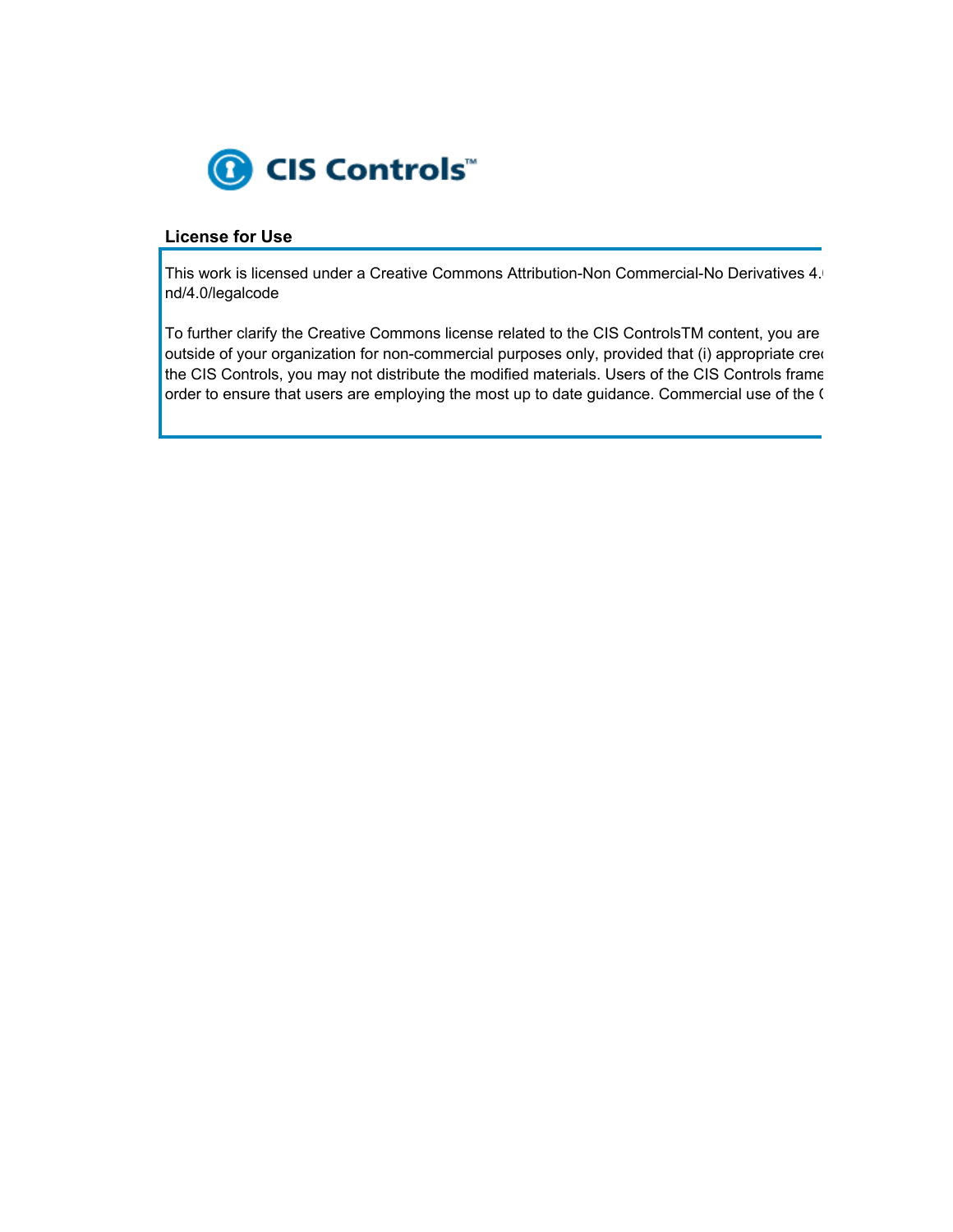

## **License for Use**

This work is licensed under a Creative Commons Attribution-Non Commercial-No Derivatives 4. nd/4.0/legalcode

To further clarify the Creative Commons license related to the CIS ControlsTM content, you are outside of your organization for non-commercial purposes only, provided that (i) appropriate credit the CIS Controls, you may not distribute the modified materials. Users of the CIS Controls frame order to ensure that users are employing the most up to date guidance. Commercial use of the C